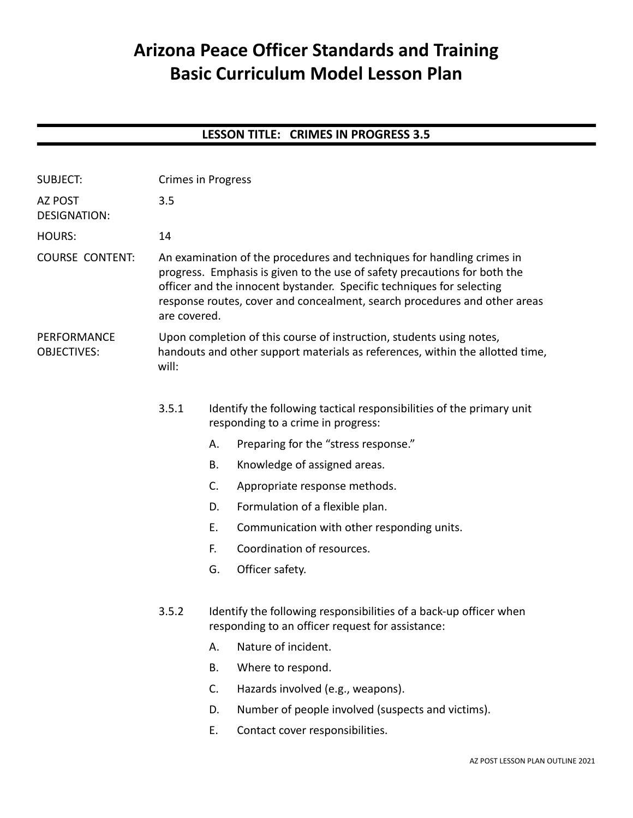## **Arizona Peace Officer Standards and Training Basic Curriculum Model Lesson Plan**

### **LESSON TITLE: CRIMES IN PROGRESS 3.5**

| <b>SUBJECT:</b>                   | <b>Crimes in Progress</b>                                                                                                                                                                                                                                                                                                 |                                                                                                                       |                                                                                                            |
|-----------------------------------|---------------------------------------------------------------------------------------------------------------------------------------------------------------------------------------------------------------------------------------------------------------------------------------------------------------------------|-----------------------------------------------------------------------------------------------------------------------|------------------------------------------------------------------------------------------------------------|
| AZ POST<br><b>DESIGNATION:</b>    | 3.5                                                                                                                                                                                                                                                                                                                       |                                                                                                                       |                                                                                                            |
| <b>HOURS:</b>                     | 14                                                                                                                                                                                                                                                                                                                        |                                                                                                                       |                                                                                                            |
| <b>COURSE CONTENT:</b>            | An examination of the procedures and techniques for handling crimes in<br>progress. Emphasis is given to the use of safety precautions for both the<br>officer and the innocent bystander. Specific techniques for selecting<br>response routes, cover and concealment, search procedures and other areas<br>are covered. |                                                                                                                       |                                                                                                            |
| PERFORMANCE<br><b>OBJECTIVES:</b> | Upon completion of this course of instruction, students using notes,<br>handouts and other support materials as references, within the allotted time,<br>will:                                                                                                                                                            |                                                                                                                       |                                                                                                            |
|                                   | 3.5.1                                                                                                                                                                                                                                                                                                                     |                                                                                                                       | Identify the following tactical responsibilities of the primary unit<br>responding to a crime in progress: |
|                                   |                                                                                                                                                                                                                                                                                                                           | А.                                                                                                                    | Preparing for the "stress response."                                                                       |
|                                   |                                                                                                                                                                                                                                                                                                                           | В.                                                                                                                    | Knowledge of assigned areas.                                                                               |
|                                   |                                                                                                                                                                                                                                                                                                                           | C.                                                                                                                    | Appropriate response methods.                                                                              |
|                                   |                                                                                                                                                                                                                                                                                                                           | D.                                                                                                                    | Formulation of a flexible plan.                                                                            |
|                                   |                                                                                                                                                                                                                                                                                                                           | Ε.                                                                                                                    | Communication with other responding units.                                                                 |
|                                   |                                                                                                                                                                                                                                                                                                                           | F.                                                                                                                    | Coordination of resources.                                                                                 |
|                                   |                                                                                                                                                                                                                                                                                                                           | G.                                                                                                                    | Officer safety.                                                                                            |
|                                   | 3.5.2                                                                                                                                                                                                                                                                                                                     | Identify the following responsibilities of a back-up officer when<br>responding to an officer request for assistance: |                                                                                                            |
|                                   |                                                                                                                                                                                                                                                                                                                           | Α.                                                                                                                    | Nature of incident.                                                                                        |
|                                   |                                                                                                                                                                                                                                                                                                                           | <b>B.</b>                                                                                                             | Where to respond.                                                                                          |
|                                   |                                                                                                                                                                                                                                                                                                                           | C.                                                                                                                    | Hazards involved (e.g., weapons).                                                                          |
|                                   |                                                                                                                                                                                                                                                                                                                           | D.                                                                                                                    | Number of people involved (suspects and victims).                                                          |
|                                   |                                                                                                                                                                                                                                                                                                                           | Ε.                                                                                                                    | Contact cover responsibilities.                                                                            |
|                                   |                                                                                                                                                                                                                                                                                                                           |                                                                                                                       |                                                                                                            |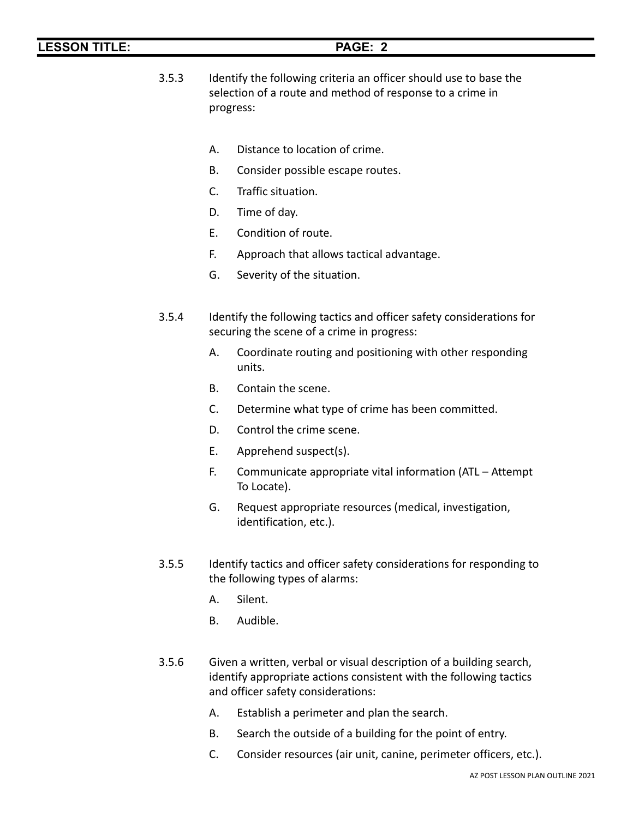| <b>LESSON TITLE:</b> | PAGE: 2                                                                                                                                     |  |  |  |
|----------------------|---------------------------------------------------------------------------------------------------------------------------------------------|--|--|--|
| 3.5.3                | Identify the following criteria an officer should use to base the<br>selection of a route and method of response to a crime in<br>progress: |  |  |  |
|                      | А.<br>Distance to location of crime.                                                                                                        |  |  |  |
|                      | <b>B.</b><br>Consider possible escape routes.                                                                                               |  |  |  |
|                      | C.<br>Traffic situation.                                                                                                                    |  |  |  |
|                      | Time of day.<br>D.                                                                                                                          |  |  |  |
|                      | E.<br>Condition of route.                                                                                                                   |  |  |  |
|                      | F.<br>Approach that allows tactical advantage.                                                                                              |  |  |  |
|                      | G.<br>Severity of the situation.                                                                                                            |  |  |  |
| 3.5.4                | Identify the following tactics and officer safety considerations for<br>securing the scene of a crime in progress:                          |  |  |  |
|                      | Coordinate routing and positioning with other responding<br>А.<br>units.                                                                    |  |  |  |
|                      | <b>B.</b><br>Contain the scene.                                                                                                             |  |  |  |
|                      | C.<br>Determine what type of crime has been committed.                                                                                      |  |  |  |
|                      | Control the crime scene.<br>D.                                                                                                              |  |  |  |
|                      | Ε.<br>Apprehend suspect(s).                                                                                                                 |  |  |  |
|                      | F.<br>Communicate appropriate vital information (ATL - Attempt<br>To Locate).                                                               |  |  |  |
|                      | G.<br>Request appropriate resources (medical, investigation,<br>identification, etc.).                                                      |  |  |  |

- 3.5.5 Identify tactics and officer safety considerations for responding to the following types of alarms:
	- A. Silent.
	- B. Audible.
- 3.5.6 Given a written, verbal or visual description of a building search, identify appropriate actions consistent with the following tactics and officer safety considerations:
	- A. Establish a perimeter and plan the search.
	- B. Search the outside of a building for the point of entry.
	- C. Consider resources (air unit, canine, perimeter officers, etc.).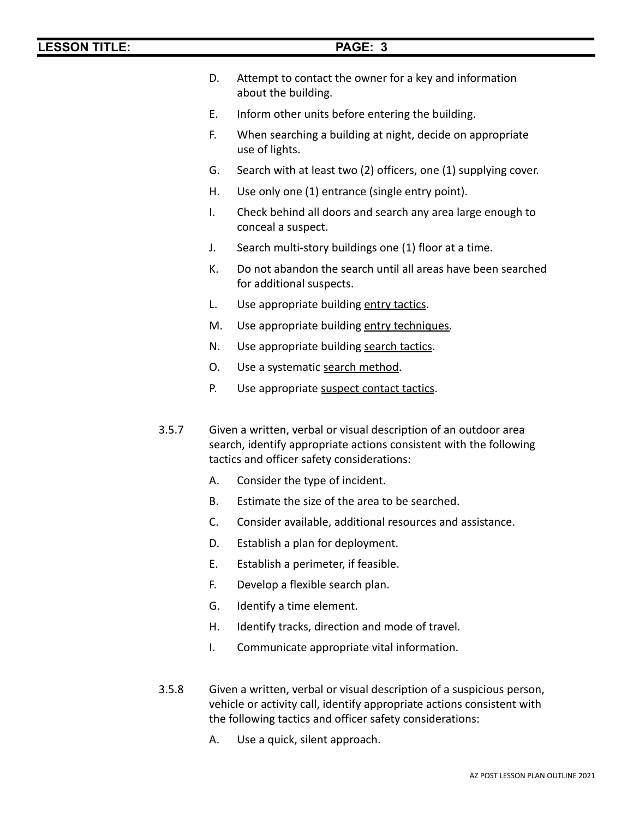- D. Attempt to contact the owner for a key and information about the building.
- E. Inform other units before entering the building.
- F. When searching a building at night, decide on appropriate use of lights.
- G. Search with at least two (2) officers, one (1) supplying cover.
- H. Use only one (1) entrance (single entry point).
- I. Check behind all doors and search any area large enough to conceal a suspect.
- J. Search multi-story buildings one (1) floor at a time.
- K. Do not abandon the search until all areas have been searched for additional suspects.
- L. Use appropriate building entry tactics.
- M. Use appropriate building entry techniques.
- N. Use appropriate building search tactics.
- O. Use a systematic search method.
- P. Use appropriate suspect contact tactics.
- 3.5.7 Given a written, verbal or visual description of an outdoor area search, identify appropriate actions consistent with the following tactics and officer safety considerations:
	- A. Consider the type of incident.
	- B. Estimate the size of the area to be searched.
	- C. Consider available, additional resources and assistance.
	- D. Establish a plan for deployment.
	- E. Establish a perimeter, if feasible.
	- F. Develop a flexible search plan.
	- G. Identify a time element.
	- H. Identify tracks, direction and mode of travel.
	- I. Communicate appropriate vital information.
- 3.5.8 Given a written, verbal or visual description of a suspicious person, vehicle or activity call, identify appropriate actions consistent with the following tactics and officer safety considerations:
	- A. Use a quick, silent approach.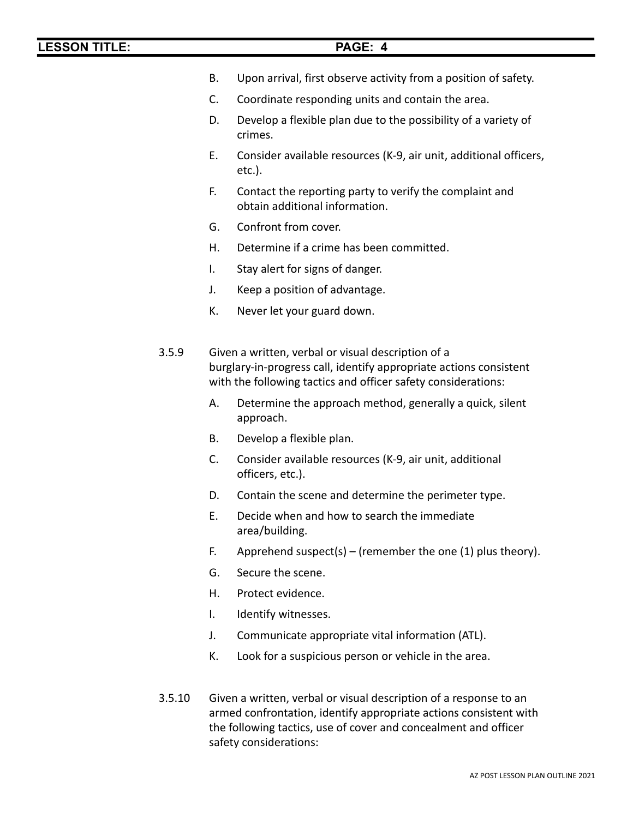- B. Upon arrival, first observe activity from a position of safety.
- C. Coordinate responding units and contain the area.
- D. Develop a flexible plan due to the possibility of a variety of crimes.
- E. Consider available resources (K-9, air unit, additional officers, etc.).
- F. Contact the reporting party to verify the complaint and obtain additional information.
- G. Confront from cover.
- H. Determine if a crime has been committed.
- I. Stay alert for signs of danger.
- J. Keep a position of advantage.
- K. Never let your guard down.
- 3.5.9 Given a written, verbal or visual description of a burglary-in-progress call, identify appropriate actions consistent with the following tactics and officer safety considerations:
	- A. Determine the approach method, generally a quick, silent approach.
	- B. Develop a flexible plan.
	- C. Consider available resources (K-9, air unit, additional officers, etc.).
	- D. Contain the scene and determine the perimeter type.
	- E. Decide when and how to search the immediate area/building.
	- F. Apprehend suspect(s) (remember the one  $(1)$  plus theory).
	- G. Secure the scene.
	- H. Protect evidence.
	- I. Identify witnesses.
	- J. Communicate appropriate vital information (ATL).
	- K. Look for a suspicious person or vehicle in the area.
- 3.5.10 Given a written, verbal or visual description of a response to an armed confrontation, identify appropriate actions consistent with the following tactics, use of cover and concealment and officer safety considerations: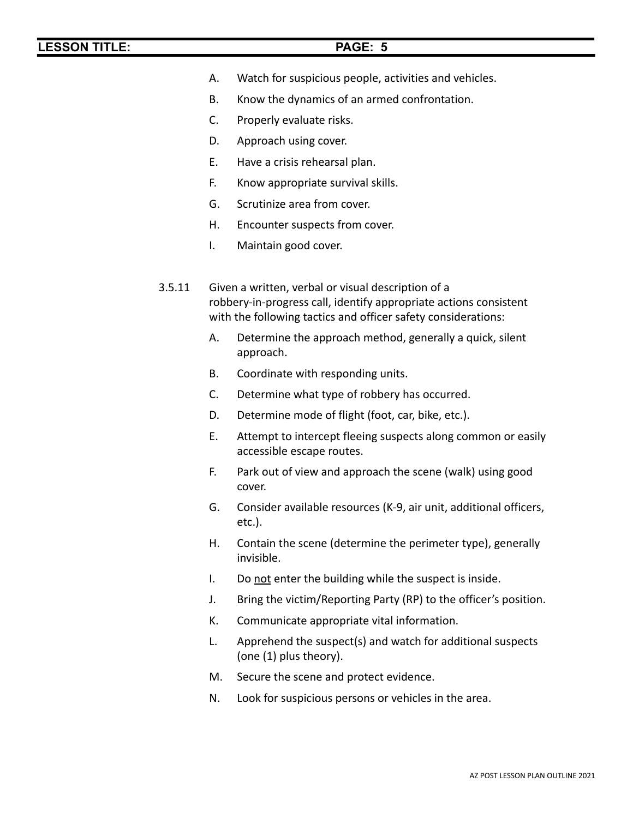- A. Watch for suspicious people, activities and vehicles.
- B. Know the dynamics of an armed confrontation.
- C. Properly evaluate risks.
- D. Approach using cover.
- E. Have a crisis rehearsal plan.
- F. Know appropriate survival skills.
- G. Scrutinize area from cover.
- H. Encounter suspects from cover.
- I. Maintain good cover.
- 3.5.11 Given a written, verbal or visual description of a robbery-in-progress call, identify appropriate actions consistent with the following tactics and officer safety considerations:
	- A. Determine the approach method, generally a quick, silent approach.
	- B. Coordinate with responding units.
	- C. Determine what type of robbery has occurred.
	- D. Determine mode of flight (foot, car, bike, etc.).
	- E. Attempt to intercept fleeing suspects along common or easily accessible escape routes.
	- F. Park out of view and approach the scene (walk) using good cover.
	- G. Consider available resources (K-9, air unit, additional officers, etc.).
	- H. Contain the scene (determine the perimeter type), generally invisible.
	- I. Do not enter the building while the suspect is inside.
	- J. Bring the victim/Reporting Party (RP) to the officer's position.
	- K. Communicate appropriate vital information.
	- L. Apprehend the suspect(s) and watch for additional suspects (one (1) plus theory).
	- M. Secure the scene and protect evidence.
	- N. Look for suspicious persons or vehicles in the area.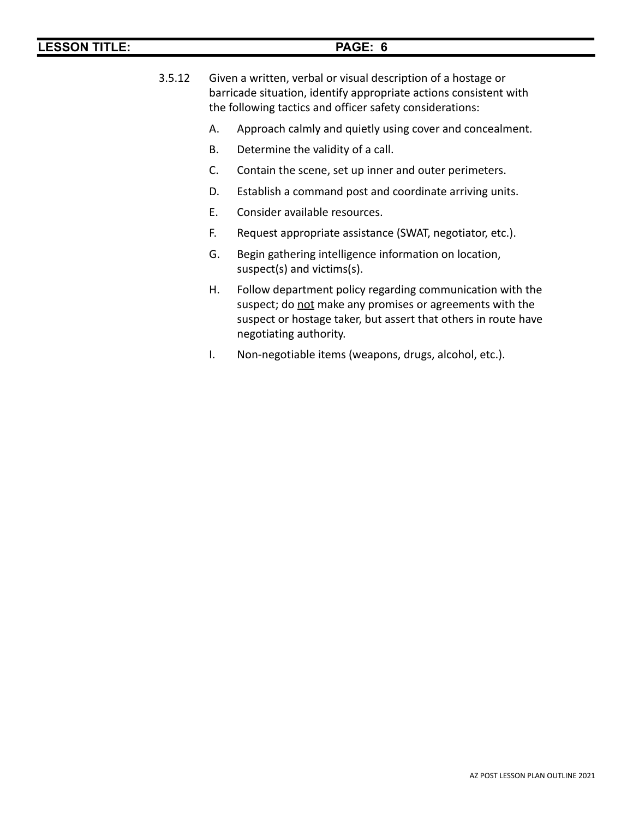- 3.5.12 Given a written, verbal or visual description of a hostage or barricade situation, identify appropriate actions consistent with the following tactics and officer safety considerations:
	- A. Approach calmly and quietly using cover and concealment.
	- B. Determine the validity of a call.
	- C. Contain the scene, set up inner and outer perimeters.
	- D. Establish a command post and coordinate arriving units.
	- E. Consider available resources.
	- F. Request appropriate assistance (SWAT, negotiator, etc.).
	- G. Begin gathering intelligence information on location, suspect(s) and victims(s).
	- H. Follow department policy regarding communication with the suspect; do not make any promises or agreements with the suspect or hostage taker, but assert that others in route have negotiating authority.
	- I. Non-negotiable items (weapons, drugs, alcohol, etc.).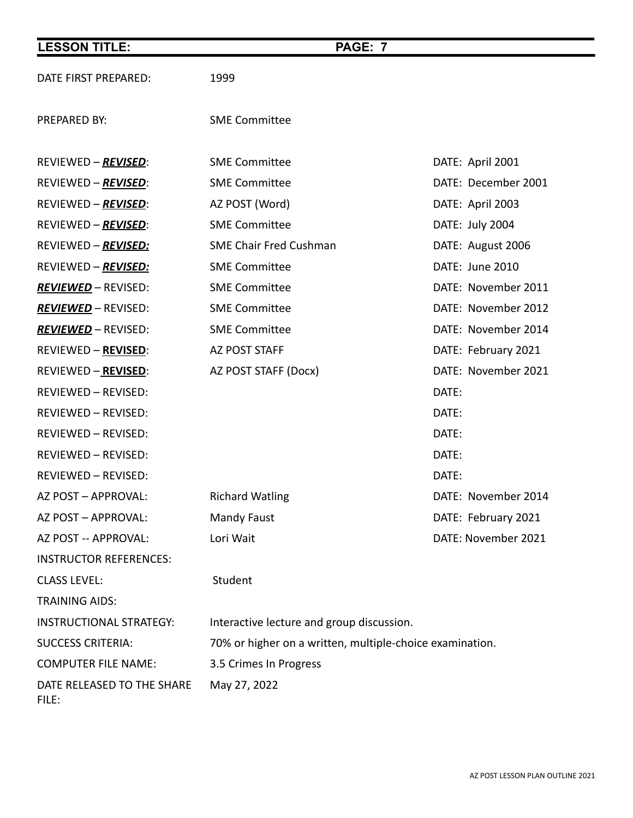| <b>LESSON TITLE:</b>                | <b>PAGE: 7</b>                                           |                     |
|-------------------------------------|----------------------------------------------------------|---------------------|
| DATE FIRST PREPARED:                | 1999                                                     |                     |
| PREPARED BY:                        | <b>SME Committee</b>                                     |                     |
| REVIEWED – REVISED:                 | <b>SME Committee</b>                                     | DATE: April 2001    |
| REVIEWED - REVISED:                 | <b>SME Committee</b>                                     | DATE: December 2001 |
| REVIEWED - REVISED:                 | AZ POST (Word)                                           | DATE: April 2003    |
| REVIEWED - REVISED:                 | <b>SME Committee</b>                                     | DATE: July 2004     |
| REVIEWED - REVISED:                 | <b>SME Chair Fred Cushman</b>                            | DATE: August 2006   |
| REVIEWED - REVISED:                 | <b>SME Committee</b>                                     | DATE: June 2010     |
| <b>REVIEWED</b> - REVISED:          | <b>SME Committee</b>                                     | DATE: November 2011 |
| <b>REVIEWED</b> - REVISED:          | <b>SME Committee</b>                                     | DATE: November 2012 |
| <b>REVIEWED - REVISED:</b>          | <b>SME Committee</b>                                     | DATE: November 2014 |
| REVIEWED - REVISED:                 | AZ POST STAFF                                            | DATE: February 2021 |
| REVIEWED - REVISED:                 | AZ POST STAFF (Docx)                                     | DATE: November 2021 |
| REVIEWED - REVISED:                 |                                                          | DATE:               |
| REVIEWED - REVISED:                 |                                                          | DATE:               |
| REVIEWED - REVISED:                 |                                                          | DATE:               |
| <b>REVIEWED - REVISED:</b>          |                                                          | DATE:               |
| REVIEWED - REVISED:                 |                                                          | DATE:               |
| AZ POST - APPROVAL:                 | <b>Richard Watling</b>                                   | DATE: November 2014 |
| AZ POST - APPROVAL:                 | <b>Mandy Faust</b>                                       | DATE: February 2021 |
| AZ POST -- APPROVAL:                | Lori Wait                                                | DATE: November 2021 |
| <b>INSTRUCTOR REFERENCES:</b>       |                                                          |                     |
| <b>CLASS LEVEL:</b>                 | Student                                                  |                     |
| <b>TRAINING AIDS:</b>               |                                                          |                     |
| <b>INSTRUCTIONAL STRATEGY:</b>      | Interactive lecture and group discussion.                |                     |
| <b>SUCCESS CRITERIA:</b>            | 70% or higher on a written, multiple-choice examination. |                     |
| <b>COMPUTER FILE NAME:</b>          | 3.5 Crimes In Progress                                   |                     |
| DATE RELEASED TO THE SHARE<br>FILE: | May 27, 2022                                             |                     |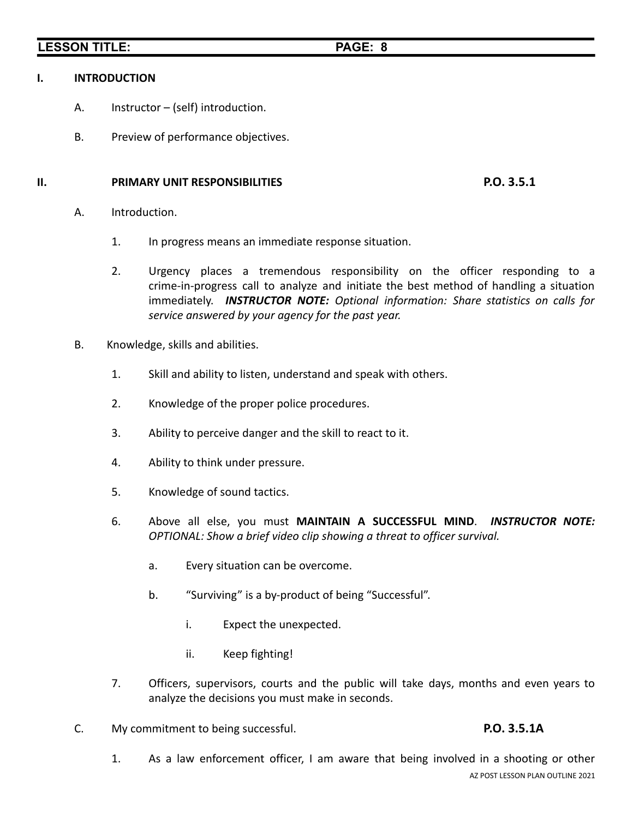### **I. INTRODUCTION**

- A. Instructor (self) introduction.
- B. Preview of performance objectives.

### **II. PRIMARY UNIT RESPONSIBILITIES P.O. 3.5.1**

- A. Introduction.
	- 1. In progress means an immediate response situation.
	- 2. Urgency places a tremendous responsibility on the officer responding to a crime-in-progress call to analyze and initiate the best method of handling a situation immediately. *INSTRUCTOR NOTE: Optional information: Share statistics on calls for service answered by your agency for the past year.*
- B. Knowledge, skills and abilities.
	- 1. Skill and ability to listen, understand and speak with others.
	- 2. Knowledge of the proper police procedures.
	- 3. Ability to perceive danger and the skill to react to it.
	- 4. Ability to think under pressure.
	- 5. Knowledge of sound tactics.
	- 6. Above all else, you must **MAINTAIN A SUCCESSFUL MIND**. *INSTRUCTOR NOTE: OPTIONAL: Show a brief video clip showing a threat to officer survival.*
		- a. Every situation can be overcome.
		- b. "Surviving" is a by-product of being "Successful".
			- i. Expect the unexpected.
			- ii. Keep fighting!
	- 7. Officers, supervisors, courts and the public will take days, months and even years to analyze the decisions you must make in seconds.
- C. My commitment to being successful. **P.O. 3.5.1A**

1. As a law enforcement officer, I am aware that being involved in a shooting or other AZ POST LESSON PLAN OUTLINE 2021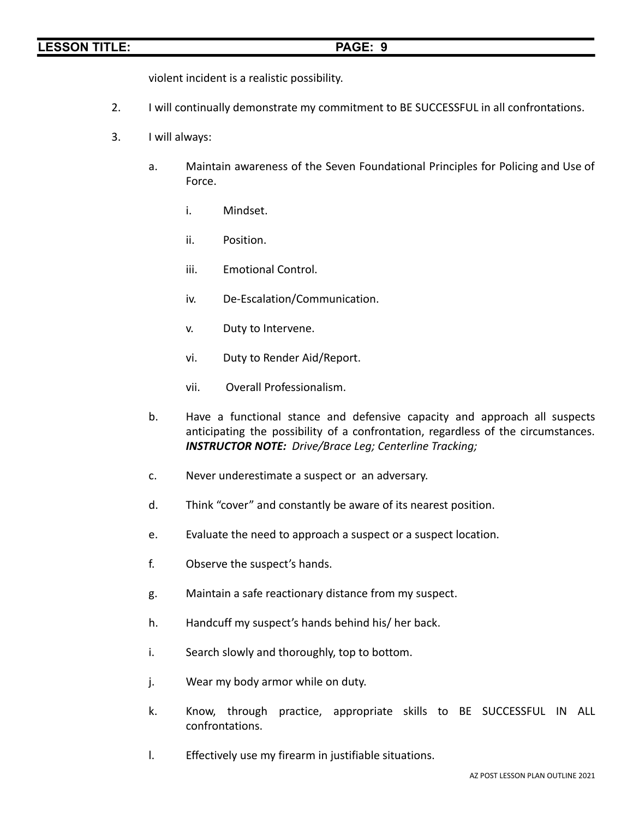violent incident is a realistic possibility.

- 2. I will continually demonstrate my commitment to BE SUCCESSFUL in all confrontations.
- 3. I will always:
	- a. Maintain awareness of the Seven Foundational Principles for Policing and Use of Force.
		- i. Mindset.
		- ii. Position.
		- iii. Emotional Control.
		- iv. De-Escalation/Communication.
		- v. Duty to Intervene.
		- vi. Duty to Render Aid/Report.
		- vii. Overall Professionalism.
	- b. Have a functional stance and defensive capacity and approach all suspects anticipating the possibility of a confrontation, regardless of the circumstances. *INSTRUCTOR NOTE: Drive/Brace Leg; Centerline Tracking;*
	- c. Never underestimate a suspect or an adversary.
	- d. Think "cover" and constantly be aware of its nearest position.
	- e. Evaluate the need to approach a suspect or a suspect location.
	- f. Observe the suspect's hands.
	- g. Maintain a safe reactionary distance from my suspect.
	- h. Handcuff my suspect's hands behind his/ her back.
	- i. Search slowly and thoroughly, top to bottom.
	- j. Wear my body armor while on duty.
	- k. Know, through practice, appropriate skills to BE SUCCESSFUL IN ALL confrontations.
	- l. Effectively use my firearm in justifiable situations.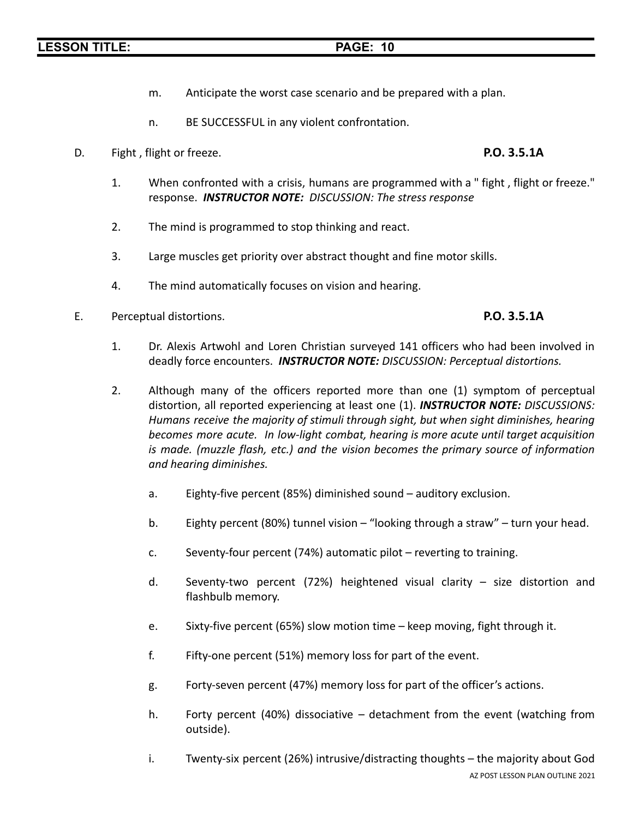- m. Anticipate the worst case scenario and be prepared with a plan.
- n. BE SUCCESSFUL in any violent confrontation.
- D. Fight , flight or freeze. **P.O. 3.5.1A**

- 1. When confronted with a crisis, humans are programmed with a " fight , flight or freeze." response. *INSTRUCTOR NOTE: DISCUSSION: The stress response*
- 2. The mind is programmed to stop thinking and react.
- 3. Large muscles get priority over abstract thought and fine motor skills.
- 4. The mind automatically focuses on vision and hearing.
- E. Perceptual distortions. **P.O. 3.5.1A**

- 1. Dr. Alexis Artwohl and Loren Christian surveyed 141 officers who had been involved in deadly force encounters. *INSTRUCTOR NOTE: DISCUSSION: Perceptual distortions.*
- 2. Although many of the officers reported more than one (1) symptom of perceptual distortion, all reported experiencing at least one (1). *INSTRUCTOR NOTE: DISCUSSIONS: Humans receive the majority of stimuli through sight, but when sight diminishes, hearing becomes more acute. In low-light combat, hearing is more acute until target acquisition is made. (muzzle flash, etc.) and the vision becomes the primary source of information and hearing diminishes.*
	- a. Eighty-five percent (85%) diminished sound auditory exclusion.
	- b. Eighty percent (80%) tunnel vision "looking through a straw" turn your head.
	- c. Seventy-four percent (74%) automatic pilot reverting to training.
	- d. Seventy-two percent (72%) heightened visual clarity size distortion and flashbulb memory.
	- e. Sixty-five percent (65%) slow motion time keep moving, fight through it.
	- f. Fifty-one percent (51%) memory loss for part of the event.
	- g. Forty-seven percent (47%) memory loss for part of the officer's actions.
	- h. Forty percent (40%) dissociative detachment from the event (watching from outside).
	- i. Twenty-six percent (26%) intrusive/distracting thoughts the majority about God AZ POST LESSON PLAN OUTLINE 2021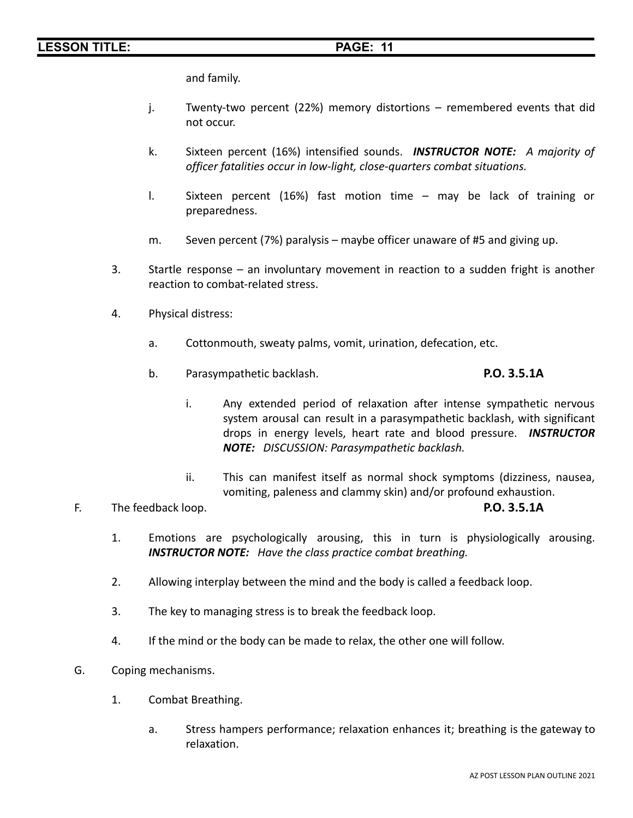and family.

- j. Twenty-two percent (22%) memory distortions remembered events that did not occur.
- k. Sixteen percent (16%) intensified sounds. *INSTRUCTOR NOTE: A majority of officer fatalities occur in low-light, close-quarters combat situations.*
- l. Sixteen percent (16%) fast motion time may be lack of training or preparedness.
- m. Seven percent (7%) paralysis maybe officer unaware of #5 and giving up.
- 3. Startle response an involuntary movement in reaction to a sudden fright is another reaction to combat-related stress.
- 4. Physical distress:
	- a. Cottonmouth, sweaty palms, vomit, urination, defecation, etc.
	- b. Parasympathetic backlash. **P.O. 3.5.1A**
		- i. Any extended period of relaxation after intense sympathetic nervous system arousal can result in a parasympathetic backlash, with significant drops in energy levels, heart rate and blood pressure. *INSTRUCTOR NOTE: DISCUSSION: Parasympathetic backlash.*
		- ii. This can manifest itself as normal shock symptoms (dizziness, nausea, vomiting, paleness and clammy skin) and/or profound exhaustion.
- F. The feedback loop. **P.O. 3.5.1A**
	- 1. Emotions are psychologically arousing, this in turn is physiologically arousing. *INSTRUCTOR NOTE: Have the class practice combat breathing.*
	- 2. Allowing interplay between the mind and the body is called a feedback loop.
	- 3. The key to managing stress is to break the feedback loop.
	- 4. If the mind or the body can be made to relax, the other one will follow.
- G. Coping mechanisms.
	- 1. Combat Breathing.
		- a. Stress hampers performance; relaxation enhances it; breathing is the gateway to relaxation.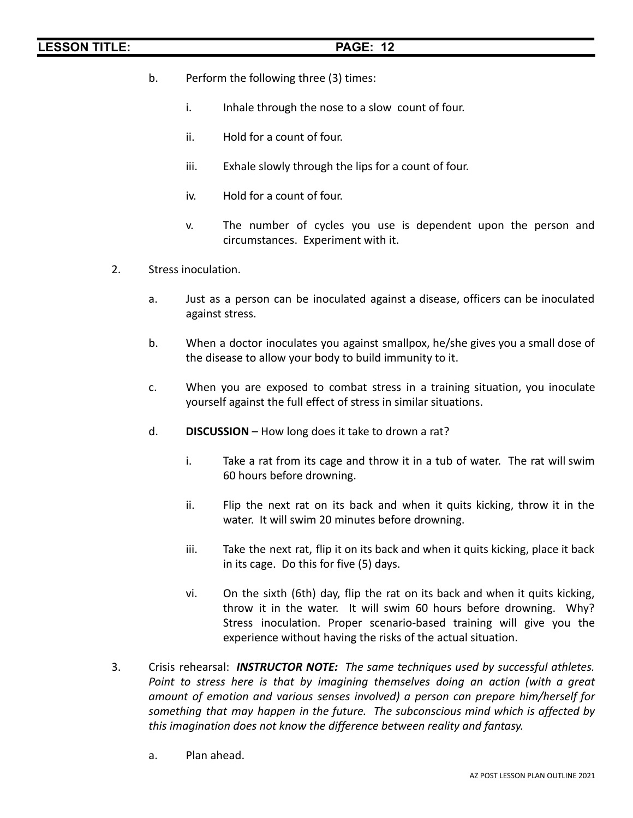- b. Perform the following three (3) times:
	- i. Inhale through the nose to a slow count of four.
	- ii. Hold for a count of four.
	- iii. Exhale slowly through the lips for a count of four.
	- iv. Hold for a count of four.
	- v. The number of cycles you use is dependent upon the person and circumstances. Experiment with it.
- 2. Stress inoculation.
	- a. Just as a person can be inoculated against a disease, officers can be inoculated against stress.
	- b. When a doctor inoculates you against smallpox, he/she gives you a small dose of the disease to allow your body to build immunity to it.
	- c. When you are exposed to combat stress in a training situation, you inoculate yourself against the full effect of stress in similar situations.
	- d. **DISCUSSION** How long does it take to drown a rat?
		- i. Take a rat from its cage and throw it in a tub of water. The rat will swim 60 hours before drowning.
		- ii. Flip the next rat on its back and when it quits kicking, throw it in the water. It will swim 20 minutes before drowning.
		- iii. Take the next rat, flip it on its back and when it quits kicking, place it back in its cage. Do this for five (5) days.
		- vi. On the sixth (6th) day, flip the rat on its back and when it quits kicking, throw it in the water. It will swim 60 hours before drowning. Why? Stress inoculation. Proper scenario-based training will give you the experience without having the risks of the actual situation.
- 3. Crisis rehearsal: *INSTRUCTOR NOTE: The same techniques used by successful athletes. Point to stress here is that by imagining themselves doing an action (with a great amount of emotion and various senses involved) a person can prepare him/herself for something that may happen in the future. The subconscious mind which is affected by this imagination does not know the difference between reality and fantasy.*
	- a. Plan ahead.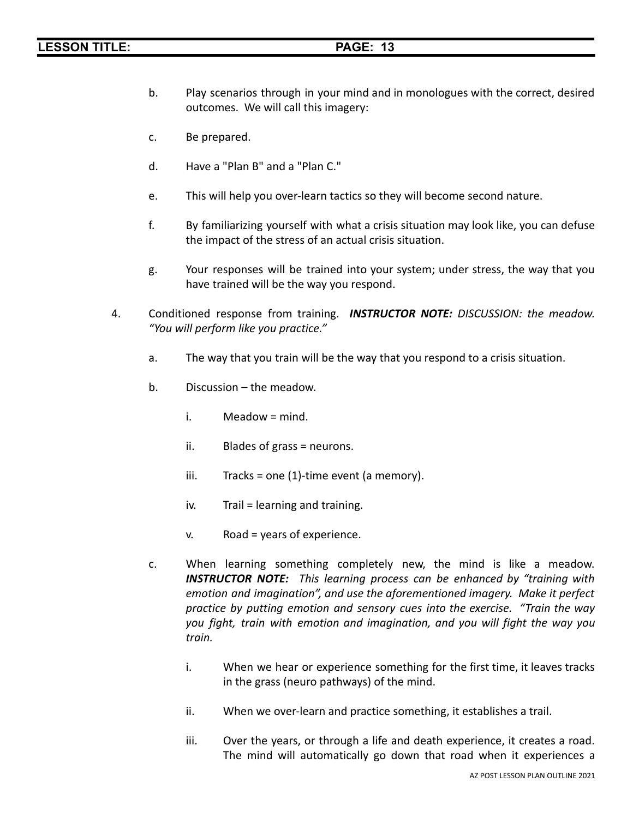- b. Play scenarios through in your mind and in monologues with the correct, desired outcomes. We will call this imagery:
- c. Be prepared.
- d. Have a "Plan B" and a "Plan C."
- e. This will help you over-learn tactics so they will become second nature.
- f. By familiarizing yourself with what a crisis situation may look like, you can defuse the impact of the stress of an actual crisis situation.
- g. Your responses will be trained into your system; under stress, the way that you have trained will be the way you respond.
- 4. Conditioned response from training. *INSTRUCTOR NOTE: DISCUSSION: the meadow. "You will perform like you practice."*
	- a. The way that you train will be the way that you respond to a crisis situation.
	- b. Discussion the meadow.
		- i. Meadow = mind.
		- ii. Blades of grass = neurons.
		- iii. Tracks = one  $(1)$ -time event  $(a$  memory).
		- iv. Trail = learning and training.
		- v. Road = years of experience.
	- c. When learning something completely new, the mind is like a meadow. *INSTRUCTOR NOTE: This learning process can be enhanced by "training with emotion and imagination", and use the aforementioned imagery. Make it perfect practice by putting emotion and sensory cues into the exercise. "Train the way you fight, train with emotion and imagination, and you will fight the way you train.*
		- i. When we hear or experience something for the first time, it leaves tracks in the grass (neuro pathways) of the mind.
		- ii. When we over-learn and practice something, it establishes a trail.
		- iii. Over the years, or through a life and death experience, it creates a road. The mind will automatically go down that road when it experiences a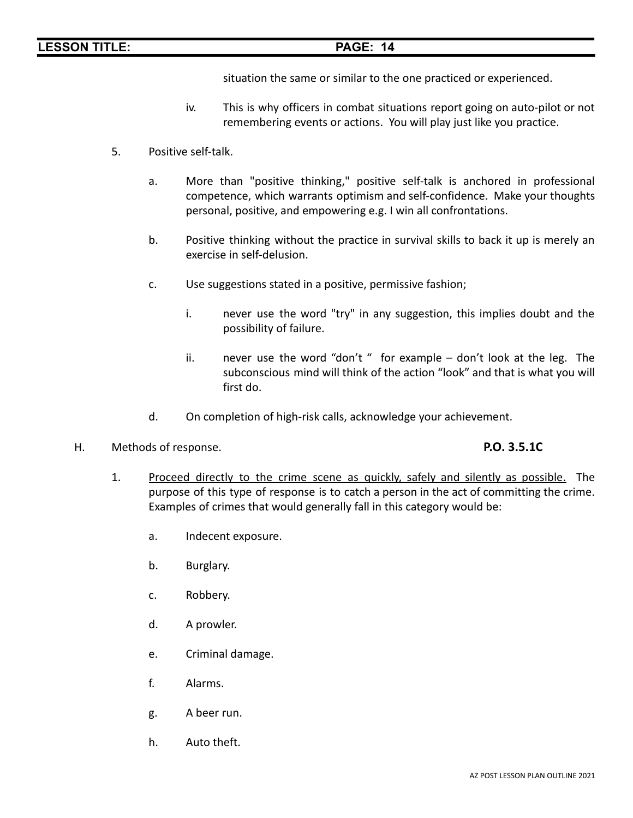situation the same or similar to the one practiced or experienced.

- iv. This is why officers in combat situations report going on auto-pilot or not remembering events or actions. You will play just like you practice.
- 5. Positive self-talk.
	- a. More than "positive thinking," positive self-talk is anchored in professional competence, which warrants optimism and self-confidence. Make your thoughts personal, positive, and empowering e.g. I win all confrontations.
	- b. Positive thinking without the practice in survival skills to back it up is merely an exercise in self-delusion.
	- c. Use suggestions stated in a positive, permissive fashion;
		- i. never use the word "try" in any suggestion, this implies doubt and the possibility of failure.
		- ii. never use the word "don't " for example don't look at the leg. The subconscious mind will think of the action "look" and that is what you will first do.
	- d. On completion of high-risk calls, acknowledge your achievement.
- H. Methods of response. **P.O. 3.5.1C**

- 1. Proceed directly to the crime scene as quickly, safely and silently as possible. The purpose of this type of response is to catch a person in the act of committing the crime. Examples of crimes that would generally fall in this category would be:
	- a. Indecent exposure.
	- b. Burglary.
	- c. Robbery.
	- d. A prowler.
	- e. Criminal damage.
	- f. Alarms.
	- g. A beer run.
	- h. Auto theft.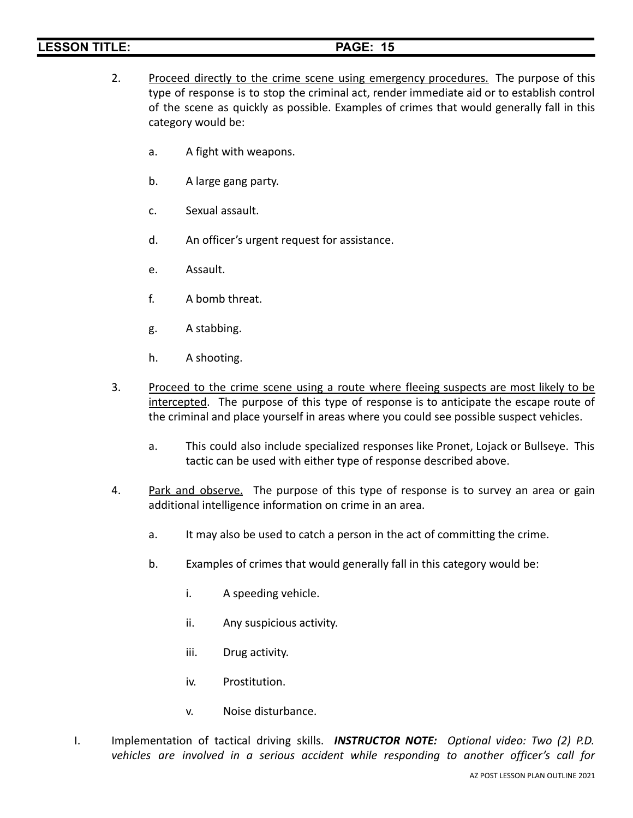- 2. Proceed directly to the crime scene using emergency procedures. The purpose of this type of response is to stop the criminal act, render immediate aid or to establish control of the scene as quickly as possible. Examples of crimes that would generally fall in this category would be:
	- a. A fight with weapons.
	- b. A large gang party.
	- c. Sexual assault.
	- d. An officer's urgent request for assistance.
	- e. Assault.
	- f. A bomb threat.
	- g. A stabbing.
	- h. A shooting.
- 3. Proceed to the crime scene using a route where fleeing suspects are most likely to be intercepted. The purpose of this type of response is to anticipate the escape route of the criminal and place yourself in areas where you could see possible suspect vehicles.
	- a. This could also include specialized responses like Pronet, Lojack or Bullseye. This tactic can be used with either type of response described above.
- 4. Park and observe. The purpose of this type of response is to survey an area or gain additional intelligence information on crime in an area.
	- a. It may also be used to catch a person in the act of committing the crime.
	- b. Examples of crimes that would generally fall in this category would be:
		- i. A speeding vehicle.
		- ii. Any suspicious activity.
		- iii. Drug activity.
		- iv. Prostitution.
		- v. Noise disturbance.
- I. Implementation of tactical driving skills. *INSTRUCTOR NOTE: Optional video: Two (2) P.D. vehicles are involved in a serious accident while responding to another officer's call for*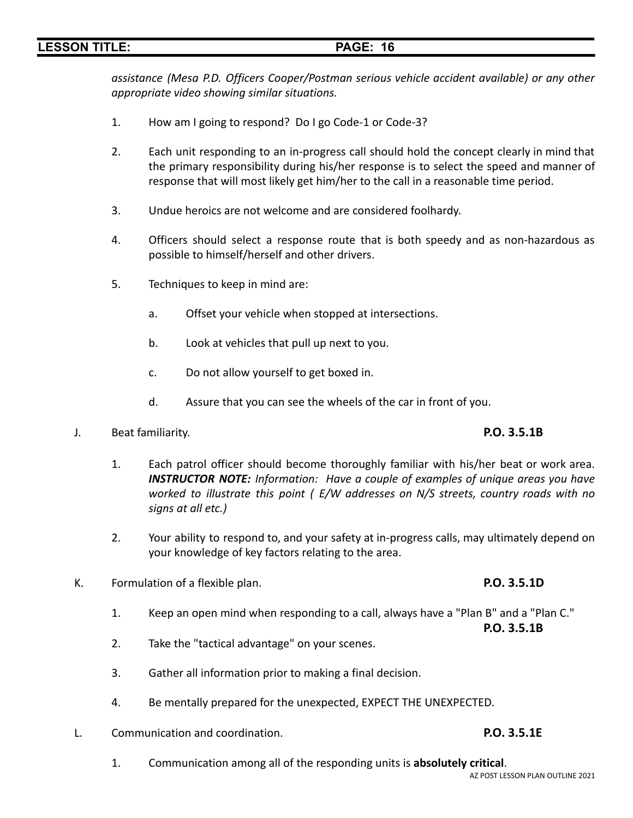*assistance (Mesa P.D. Officers Cooper/Postman serious vehicle accident available) or any other appropriate video showing similar situations.*

- 1. How am I going to respond? Do I go Code-1 or Code-3?
- 2. Each unit responding to an in-progress call should hold the concept clearly in mind that the primary responsibility during his/her response is to select the speed and manner of response that will most likely get him/her to the call in a reasonable time period.
- 3. Undue heroics are not welcome and are considered foolhardy.
- 4. Officers should select a response route that is both speedy and as non-hazardous as possible to himself/herself and other drivers.
- 5. Techniques to keep in mind are:
	- a. Offset your vehicle when stopped at intersections.
	- b. Look at vehicles that pull up next to you.
	- c. Do not allow yourself to get boxed in.
	- d. Assure that you can see the wheels of the car in front of you.
- J. Beat familiarity. **P.O. 3.5.1B**

- 1. Each patrol officer should become thoroughly familiar with his/her beat or work area. *INSTRUCTOR NOTE: Information: Have a couple of examples of unique areas you have worked to illustrate this point ( E/W addresses on N/S streets, country roads with no signs at all etc.)*
- 2. Your ability to respond to, and your safety at in-progress calls, may ultimately depend on your knowledge of key factors relating to the area.
- K. Formulation of a flexible plan. **P.O. 3.5.1D**
	- 1. Keep an open mind when responding to a call, always have a "Plan B" and a "Plan C."

**P.O. 3.5.1B**

- 2. Take the "tactical advantage" on your scenes.
- 3. Gather all information prior to making a final decision.
- 4. Be mentally prepared for the unexpected, EXPECT THE UNEXPECTED.
- L. Communication and coordination. **P.O. 3.5.1E**

1. Communication among all of the responding units is **absolutely critical**.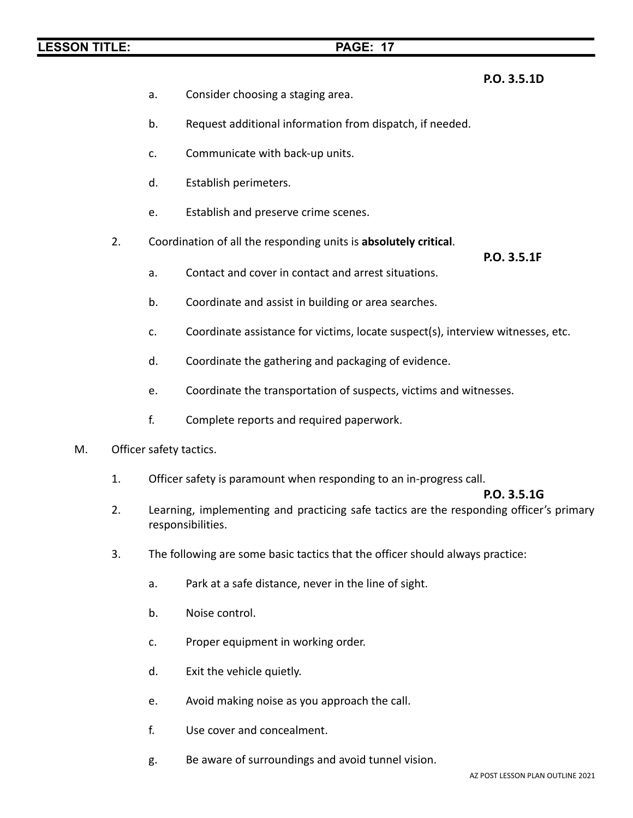### **P.O. 3.5.1D**

- a. Consider choosing a staging area.
- b. Request additional information from dispatch, if needed.
- c. Communicate with back-up units.
- d. Establish perimeters.
- e. Establish and preserve crime scenes.
- 2. Coordination of all the responding units is **absolutely critical**.

**P.O. 3.5.1F**

- a. Contact and cover in contact and arrest situations.
- b. Coordinate and assist in building or area searches.
- c. Coordinate assistance for victims, locate suspect(s), interview witnesses, etc.
- d. Coordinate the gathering and packaging of evidence.
- e. Coordinate the transportation of suspects, victims and witnesses.
- f. Complete reports and required paperwork.
- M. Officer safety tactics.
	- 1. Officer safety is paramount when responding to an in-progress call.

### **P.O. 3.5.1G**

- 2. Learning, implementing and practicing safe tactics are the responding officer's primary responsibilities.
- 3. The following are some basic tactics that the officer should always practice:
	- a. Park at a safe distance, never in the line of sight.
	- b. Noise control.
	- c. Proper equipment in working order.
	- d. Exit the vehicle quietly.
	- e. Avoid making noise as you approach the call.
	- f. Use cover and concealment.
	- g. Be aware of surroundings and avoid tunnel vision.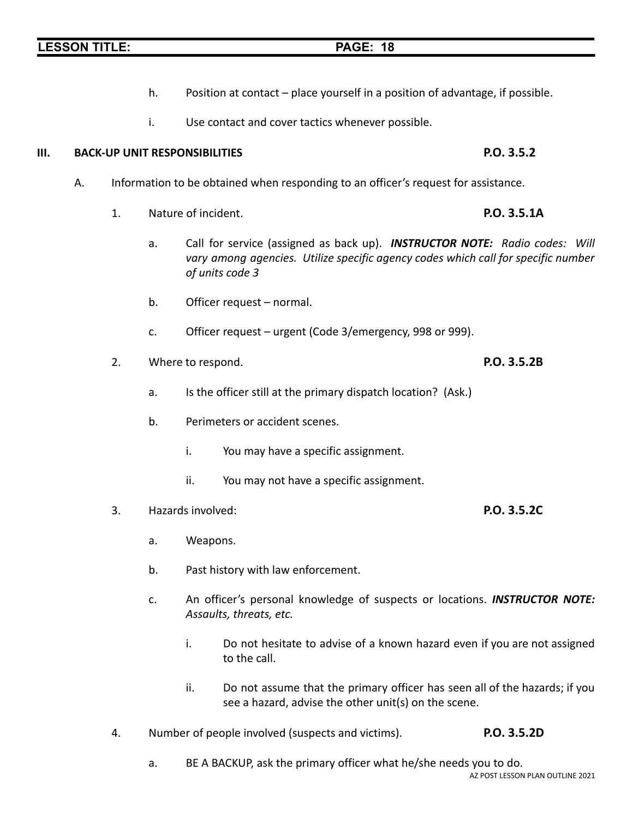a. BE A BACKUP, ask the primary officer what he/she needs you to do. AZ POST LESSON PLAN OUTLINE 2021

### **LESSON TITLE: PAGE: 18**

- h. Position at contact place yourself in a position of advantage, if possible.
- i. Use contact and cover tactics whenever possible.

### **III. BACK-UP UNIT RESPONSIBILITIES P.O. 3.5.2**

- A. Information to be obtained when responding to an officer's request for assistance.
	- 1. Nature of incident. **P.O. 3.5.1A**
		- a. Call for service (assigned as back up). *INSTRUCTOR NOTE: Radio codes: Will vary among agencies. Utilize specific agency codes which call for specific number of units code 3*
		- b. Officer request normal.
		- c. Officer request urgent (Code 3/emergency, 998 or 999).
	- 2. Where to respond. **P.O. 3.5.2B**
		- a. Is the officer still at the primary dispatch location? (Ask.)
		- b. Perimeters or accident scenes.
			- i. You may have a specific assignment.
			- ii. You may not have a specific assignment.
	- 3. Hazards involved: **P.O. 3.5.2C**
		- a. Weapons.
		- b. Past history with law enforcement.
		- c. An officer's personal knowledge of suspects or locations. *INSTRUCTOR NOTE: Assaults, threats, etc.*
			- i. Do not hesitate to advise of a known hazard even if you are not assigned to the call.
			- ii. Do not assume that the primary officer has seen all of the hazards; if you see a hazard, advise the other unit(s) on the scene.
	- 4. Number of people involved (suspects and victims). **P.O. 3.5.2D**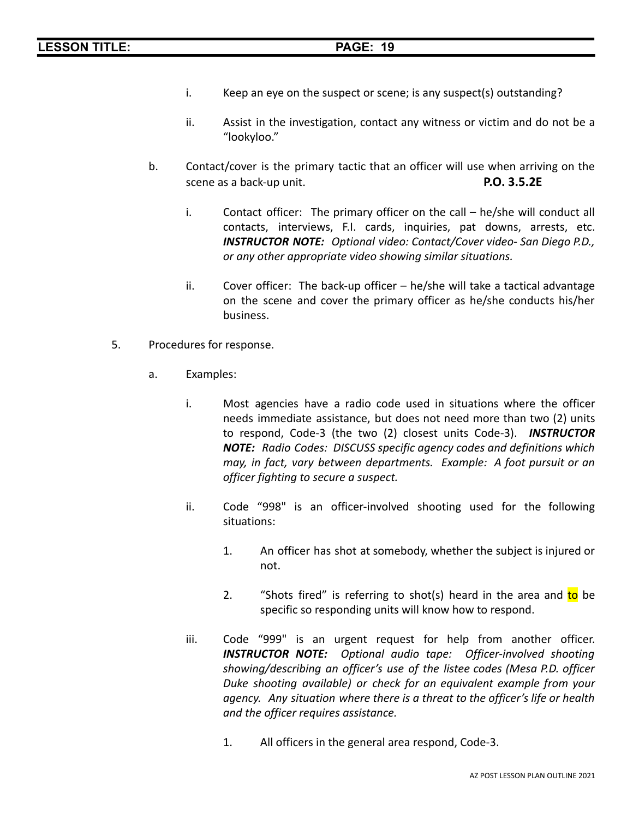- i. Keep an eye on the suspect or scene; is any suspect(s) outstanding?
- ii. Assist in the investigation, contact any witness or victim and do not be a "lookyloo."
- b. Contact/cover is the primary tactic that an officer will use when arriving on the scene as a back-up unit. **P.O. 3.5.2E**
	- i. Contact officer: The primary officer on the call he/she will conduct all contacts, interviews, F.I. cards, inquiries, pat downs, arrests, etc. *INSTRUCTOR NOTE: Optional video: Contact/Cover video- San Diego P.D., or any other appropriate video showing similar situations.*
	- ii. Cover officer: The back-up officer he/she will take a tactical advantage on the scene and cover the primary officer as he/she conducts his/her business.
- 5. Procedures for response.
	- a. Examples:
		- i. Most agencies have a radio code used in situations where the officer needs immediate assistance, but does not need more than two (2) units to respond, Code-3 (the two (2) closest units Code-3). *INSTRUCTOR NOTE: Radio Codes: DISCUSS specific agency codes and definitions which may, in fact, vary between departments. Example: A foot pursuit or an officer fighting to secure a suspect.*
		- ii. Code "998" is an officer-involved shooting used for the following situations:
			- 1. An officer has shot at somebody, whether the subject is injured or not.
			- 2. "Shots fired" is referring to shot(s) heard in the area and to be specific so responding units will know how to respond.
		- iii. Code "999" is an urgent request for help from another officer. *INSTRUCTOR NOTE: Optional audio tape: Officer-involved shooting showing/describing an officer's use of the listee codes (Mesa P.D. officer Duke shooting available) or check for an equivalent example from your agency. Any situation where there is a threat to the officer's life or health and the officer requires assistance.*
			- 1. All officers in the general area respond, Code-3.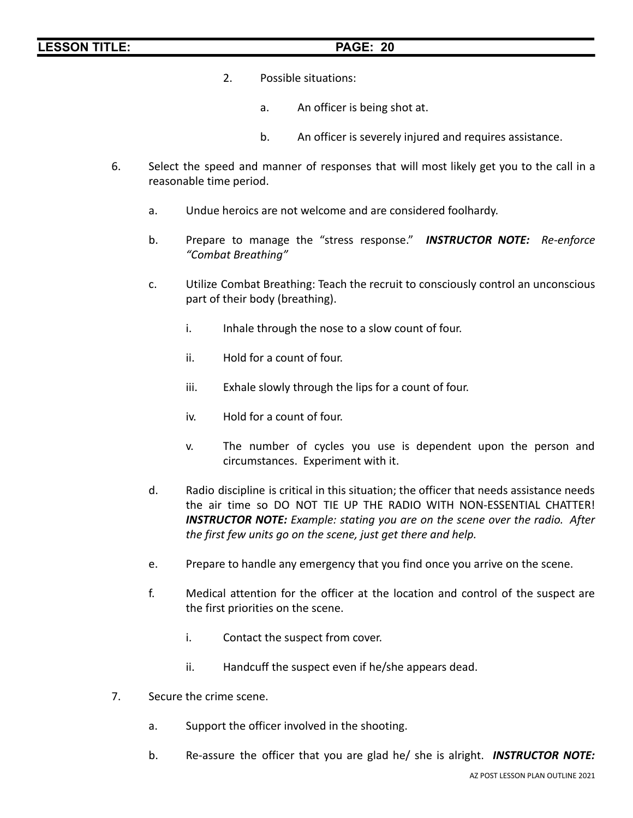- 2. Possible situations:
	- a. An officer is being shot at.
	- b. An officer is severely injured and requires assistance.
- 6. Select the speed and manner of responses that will most likely get you to the call in a reasonable time period.
	- a. Undue heroics are not welcome and are considered foolhardy.
	- b. Prepare to manage the "stress response." *INSTRUCTOR NOTE: Re-enforce "Combat Breathing"*
	- c. Utilize Combat Breathing: Teach the recruit to consciously control an unconscious part of their body (breathing).
		- i. Inhale through the nose to a slow count of four.
		- ii. Hold for a count of four.
		- iii. Exhale slowly through the lips for a count of four.
		- iv. Hold for a count of four.
		- v. The number of cycles you use is dependent upon the person and circumstances. Experiment with it.
	- d. Radio discipline is critical in this situation; the officer that needs assistance needs the air time so DO NOT TIE UP THE RADIO WITH NON-ESSENTIAL CHATTER! *INSTRUCTOR NOTE: Example: stating you are on the scene over the radio. After the first few units go on the scene, just get there and help.*
	- e. Prepare to handle any emergency that you find once you arrive on the scene.
	- f. Medical attention for the officer at the location and control of the suspect are the first priorities on the scene.
		- i. Contact the suspect from cover.
		- ii. Handcuff the suspect even if he/she appears dead.
- 7. Secure the crime scene.
	- a. Support the officer involved in the shooting.
	- b. Re-assure the officer that you are glad he/ she is alright. *INSTRUCTOR NOTE:*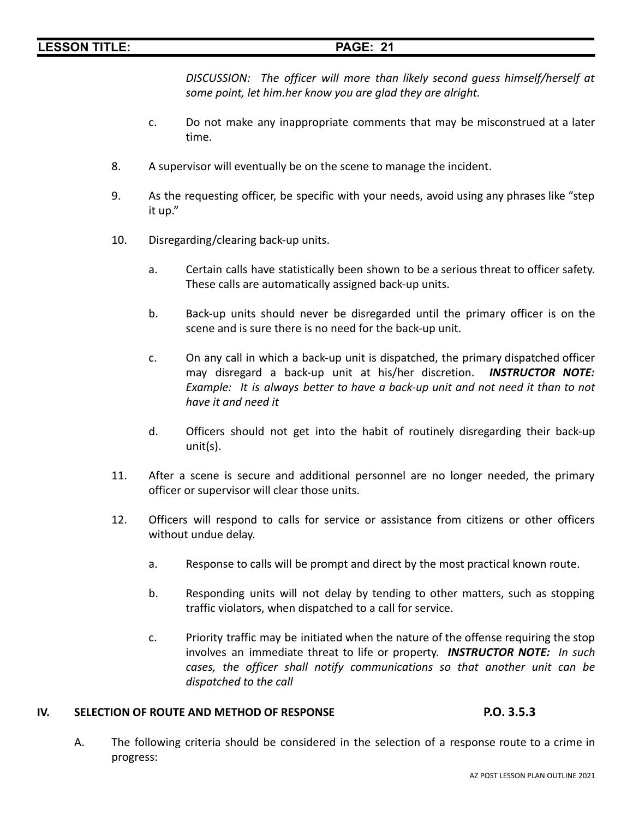*DISCUSSION: The officer will more than likely second guess himself/herself at some point, let him.her know you are glad they are alright.*

- c. Do not make any inappropriate comments that may be misconstrued at a later time.
- 8. A supervisor will eventually be on the scene to manage the incident.
- 9. As the requesting officer, be specific with your needs, avoid using any phrases like "step it up."
- 10. Disregarding/clearing back-up units.
	- a. Certain calls have statistically been shown to be a serious threat to officer safety. These calls are automatically assigned back-up units.
	- b. Back-up units should never be disregarded until the primary officer is on the scene and is sure there is no need for the back-up unit.
	- c. On any call in which a back-up unit is dispatched, the primary dispatched officer may disregard a back-up unit at his/her discretion. *INSTRUCTOR NOTE: Example: It is always better to have a back-up unit and not need it than to not have it and need it*
	- d. Officers should not get into the habit of routinely disregarding their back-up unit(s).
- 11. After a scene is secure and additional personnel are no longer needed, the primary officer or supervisor will clear those units.
- 12. Officers will respond to calls for service or assistance from citizens or other officers without undue delay.
	- a. Response to calls will be prompt and direct by the most practical known route.
	- b. Responding units will not delay by tending to other matters, such as stopping traffic violators, when dispatched to a call for service.
	- c. Priority traffic may be initiated when the nature of the offense requiring the stop involves an immediate threat to life or property. *INSTRUCTOR NOTE: In such cases, the officer shall notify communications so that another unit can be dispatched to the call*

### **IV. SELECTION OF ROUTE AND METHOD OF RESPONSE P.O. 3.5.3**

A. The following criteria should be considered in the selection of a response route to a crime in progress: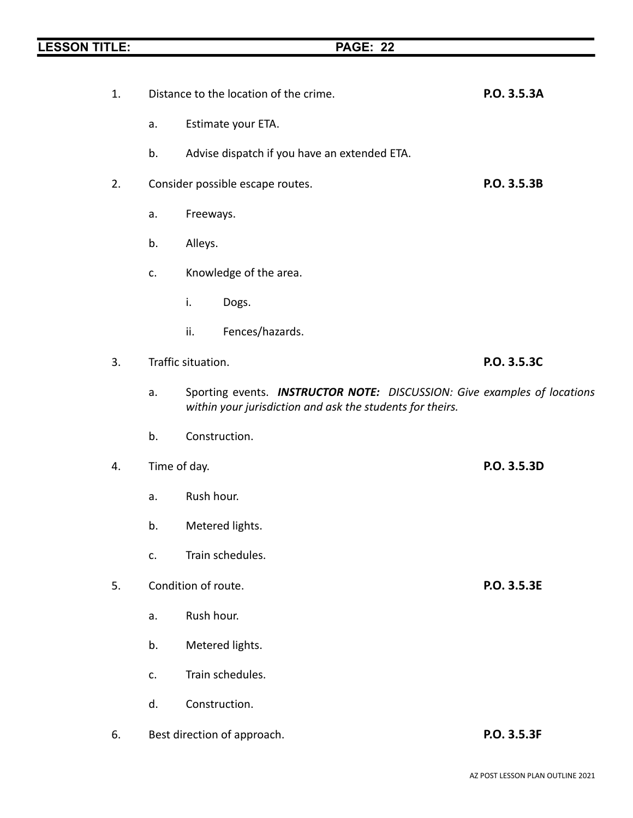| 1. |    | Distance to the location of the crime.                                                                                                       | P.O. 3.5.3A |  |  |
|----|----|----------------------------------------------------------------------------------------------------------------------------------------------|-------------|--|--|
|    | a. | Estimate your ETA.                                                                                                                           |             |  |  |
|    | b. | Advise dispatch if you have an extended ETA.                                                                                                 |             |  |  |
| 2. |    | Consider possible escape routes.                                                                                                             | P.O. 3.5.3B |  |  |
|    | a. | Freeways.                                                                                                                                    |             |  |  |
|    | b. | Alleys.                                                                                                                                      |             |  |  |
|    | c. | Knowledge of the area.                                                                                                                       |             |  |  |
|    |    | i.<br>Dogs.                                                                                                                                  |             |  |  |
|    |    | ii.<br>Fences/hazards.                                                                                                                       |             |  |  |
| 3. |    | Traffic situation.                                                                                                                           | P.O. 3.5.3C |  |  |
|    | a. | Sporting events. <b>INSTRUCTOR NOTE:</b> DISCUSSION: Give examples of locations<br>within your jurisdiction and ask the students for theirs. |             |  |  |
|    | b. | Construction.                                                                                                                                |             |  |  |
| 4. |    | Time of day.                                                                                                                                 | P.O. 3.5.3D |  |  |
|    | a. | Rush hour.                                                                                                                                   |             |  |  |
|    | b. | Metered lights.                                                                                                                              |             |  |  |
|    | c. | Train schedules.                                                                                                                             |             |  |  |
| 5. |    | Condition of route.                                                                                                                          | P.O. 3.5.3E |  |  |
|    | a. | Rush hour.                                                                                                                                   |             |  |  |
|    | b. | Metered lights.                                                                                                                              |             |  |  |
|    | c. | Train schedules.                                                                                                                             |             |  |  |
|    | d. | Construction.                                                                                                                                |             |  |  |
| 6. |    | Best direction of approach.                                                                                                                  | P.O. 3.5.3F |  |  |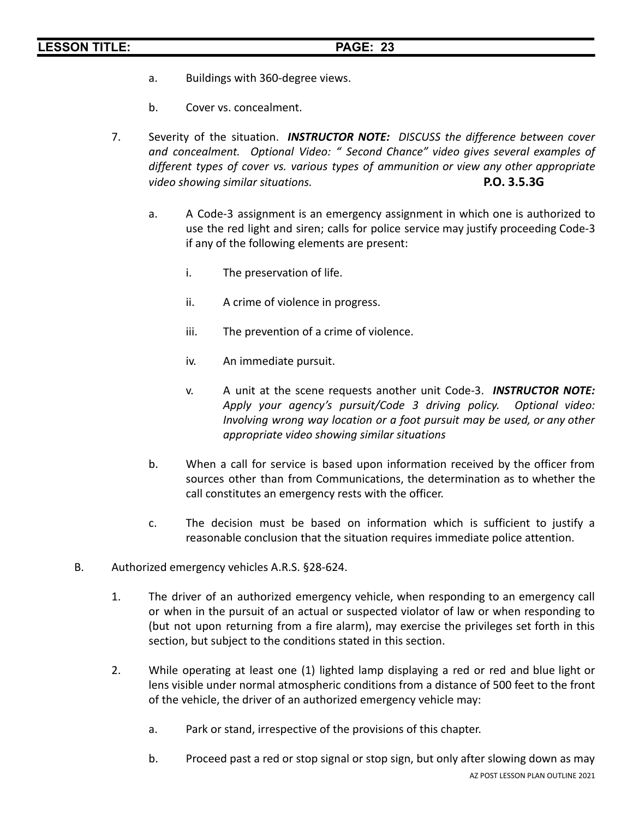- a. Buildings with 360-degree views.
- b. Cover vs. concealment.
- 7. Severity of the situation. *INSTRUCTOR NOTE: DISCUSS the difference between cover and concealment. Optional Video: " Second Chance" video gives several examples of different types of cover vs. various types of ammunition or view any other appropriate video showing similar situations.* **P.O. 3.5.3G**
	- a. A Code-3 assignment is an emergency assignment in which one is authorized to use the red light and siren; calls for police service may justify proceeding Code-3 if any of the following elements are present:
		- i. The preservation of life.
		- ii. A crime of violence in progress.
		- iii. The prevention of a crime of violence.
		- iv. An immediate pursuit.
		- v. A unit at the scene requests another unit Code-3. *INSTRUCTOR NOTE: Apply your agency's pursuit/Code 3 driving policy. Optional video: Involving wrong way location or a foot pursuit may be used, or any other appropriate video showing similar situations*
	- b. When a call for service is based upon information received by the officer from sources other than from Communications, the determination as to whether the call constitutes an emergency rests with the officer.
	- c. The decision must be based on information which is sufficient to justify a reasonable conclusion that the situation requires immediate police attention.
- B. Authorized emergency vehicles A.R.S. §28-624.
	- 1. The driver of an authorized emergency vehicle, when responding to an emergency call or when in the pursuit of an actual or suspected violator of law or when responding to (but not upon returning from a fire alarm), may exercise the privileges set forth in this section, but subject to the conditions stated in this section.
	- 2. While operating at least one (1) lighted lamp displaying a red or red and blue light or lens visible under normal atmospheric conditions from a distance of 500 feet to the front of the vehicle, the driver of an authorized emergency vehicle may:
		- a. Park or stand, irrespective of the provisions of this chapter.
		- b. Proceed past a red or stop signal or stop sign, but only after slowing down as may AZ POST LESSON PLAN OUTLINE 2021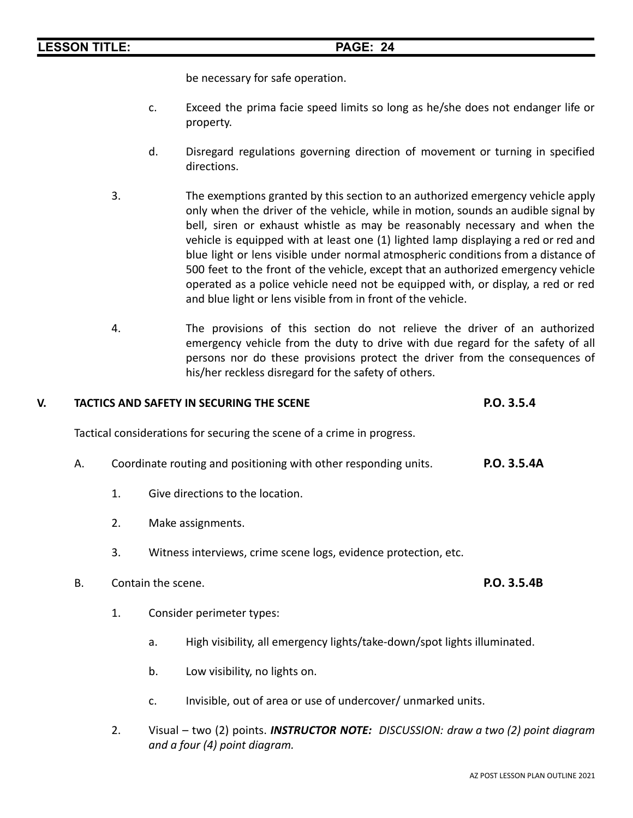be necessary for safe operation.

- c. Exceed the prima facie speed limits so long as he/she does not endanger life or property.
- d. Disregard regulations governing direction of movement or turning in specified directions.
- 3. The exemptions granted by this section to an authorized emergency vehicle apply only when the driver of the vehicle, while in motion, sounds an audible signal by bell, siren or exhaust whistle as may be reasonably necessary and when the vehicle is equipped with at least one (1) lighted lamp displaying a red or red and blue light or lens visible under normal atmospheric conditions from a distance of 500 feet to the front of the vehicle, except that an authorized emergency vehicle operated as a police vehicle need not be equipped with, or display, a red or red and blue light or lens visible from in front of the vehicle.
- 4. The provisions of this section do not relieve the driver of an authorized emergency vehicle from the duty to drive with due regard for the safety of all persons nor do these provisions protect the driver from the consequences of his/her reckless disregard for the safety of others.

### **V. TACTICS AND SAFETY IN SECURING THE SCENE P.O. 3.5.4**

Tactical considerations for securing the scene of a crime in progress.

- A. Coordinate routing and positioning with other responding units. **P.O. 3.5.4A**
	- 1. Give directions to the location.
	- 2. Make assignments.
	- 3. Witness interviews, crime scene logs, evidence protection, etc.
- B. Contain the scene. **P.O. 3.5.4B**
	- 1. Consider perimeter types:
		- a. High visibility, all emergency lights/take-down/spot lights illuminated.
		- b. Low visibility, no lights on.
		- c. Invisible, out of area or use of undercover/ unmarked units.
	- 2. Visual two (2) points. *INSTRUCTOR NOTE: DISCUSSION: draw a two (2) point diagram and a four (4) point diagram.*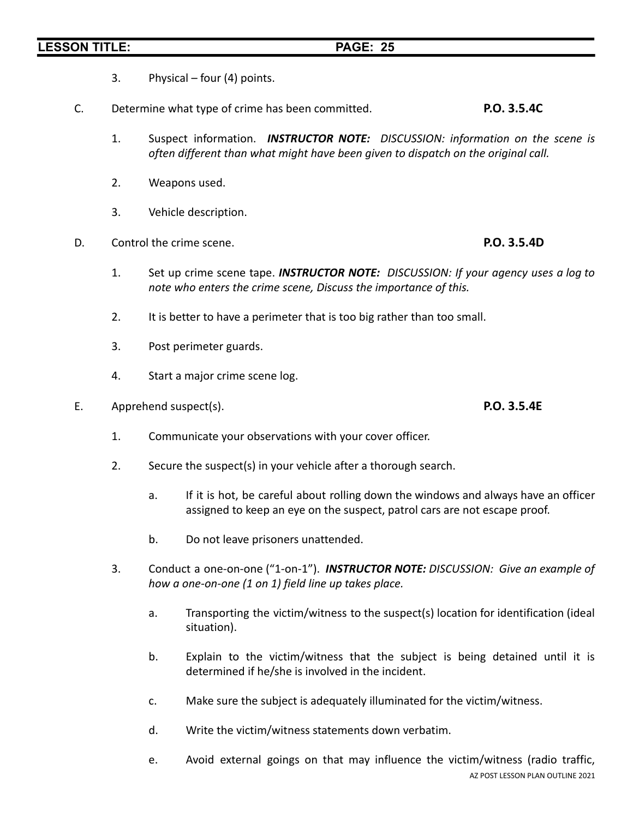3. Physical – four (4) points.

### C. Determine what type of crime has been committed. **P.O. 3.5.4C**

- 1. Suspect information. *INSTRUCTOR NOTE: DISCUSSION: information on the scene is often different than what might have been given to dispatch on the original call.*
- 2. Weapons used.
- 3. Vehicle description.
- D. Control the crime scene. **P.O. 3.5.4D**
	- 1. Set up crime scene tape. *INSTRUCTOR NOTE: DISCUSSION: If your agency uses a log to note who enters the crime scene, Discuss the importance of this.*
	- 2. It is better to have a perimeter that is too big rather than too small.
	- 3. Post perimeter guards.
	- 4. Start a major crime scene log.
- E. Apprehend suspect(s). **P.O. 3.5.4E**
	- 1. Communicate your observations with your cover officer.
	- 2. Secure the suspect(s) in your vehicle after a thorough search.
		- a. If it is hot, be careful about rolling down the windows and always have an officer assigned to keep an eye on the suspect, patrol cars are not escape proof.
		- b. Do not leave prisoners unattended.
	- 3. Conduct a one-on-one ("1-on-1"). *INSTRUCTOR NOTE: DISCUSSION: Give an example of how a one-on-one (1 on 1) field line up takes place.*
		- a. Transporting the victim/witness to the suspect(s) location for identification (ideal situation).
		- b. Explain to the victim/witness that the subject is being detained until it is determined if he/she is involved in the incident.
		- c. Make sure the subject is adequately illuminated for the victim/witness.
		- d. Write the victim/witness statements down verbatim.
		- e. Avoid external goings on that may influence the victim/witness (radio traffic, AZ POST LESSON PLAN OUTLINE 2021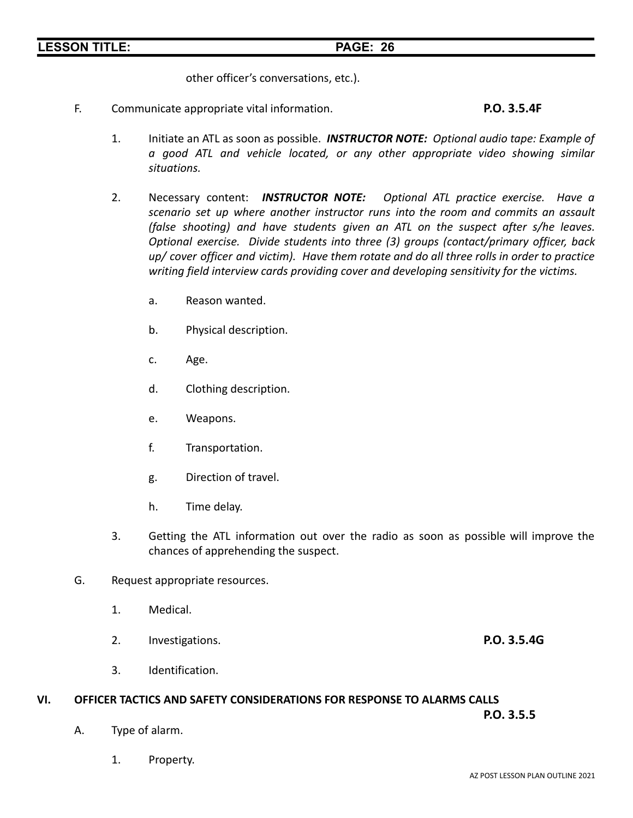other officer's conversations, etc.).

- F. Communicate appropriate vital information. **P.O. 3.5.4F**
	- 1. Initiate an ATL as soon as possible. *INSTRUCTOR NOTE: Optional audio tape: Example of a good ATL and vehicle located, or any other appropriate video showing similar situations.*
	- 2. Necessary content: *INSTRUCTOR NOTE: Optional ATL practice exercise. Have a scenario set up where another instructor runs into the room and commits an assault (false shooting) and have students given an ATL on the suspect after s/he leaves. Optional exercise. Divide students into three (3) groups (contact/primary officer, back up/ cover officer and victim). Have them rotate and do all three rolls in order to practice writing field interview cards providing cover and developing sensitivity for the victims.*
		- a. Reason wanted.
		- b. Physical description.
		- c. Age.
		- d. Clothing description.
		- e. Weapons.
		- f. Transportation.
		- g. Direction of travel.
		- h. Time delay.
	- 3. Getting the ATL information out over the radio as soon as possible will improve the chances of apprehending the suspect.
- G. Request appropriate resources.
	- 1. Medical.
	- 2. Investigations. **P.O. 3.5.4G**
	- 3. Identification.

### **VI. OFFICER TACTICS AND SAFETY CONSIDERATIONS FOR RESPONSE TO ALARMS CALLS**

- A. Type of alarm.
	- 1. Property.

**P.O. 3.5.5**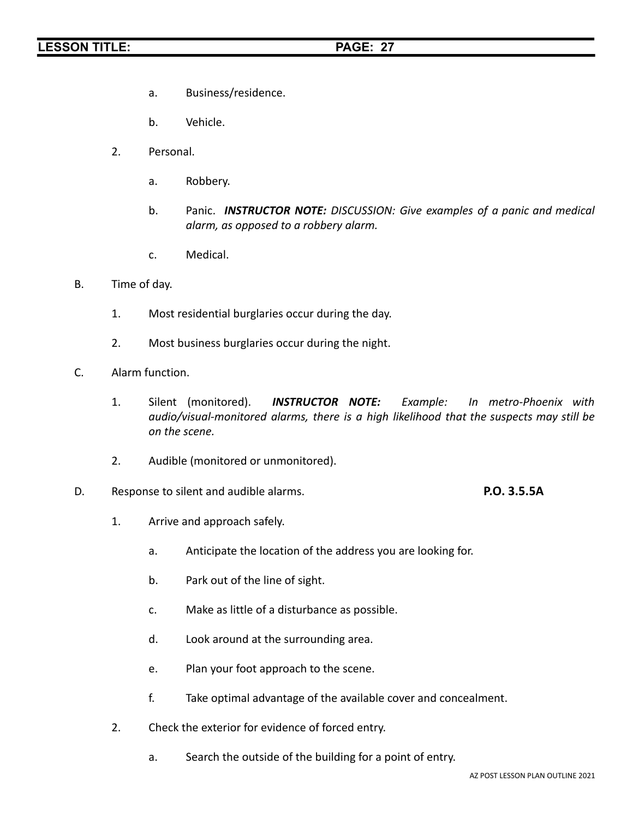- a. Business/residence.
- b. Vehicle.
- 2. Personal.
	- a. Robbery.
	- b. Panic. *INSTRUCTOR NOTE: DISCUSSION: Give examples of a panic and medical alarm, as opposed to a robbery alarm.*
	- c. Medical.
- B. Time of day.
	- 1. Most residential burglaries occur during the day.
	- 2. Most business burglaries occur during the night.
- C. Alarm function.
	- 1. Silent (monitored). *INSTRUCTOR NOTE: Example: In metro-Phoenix with audio/visual-monitored alarms, there is a high likelihood that the suspects may still be on the scene.*
	- 2. Audible (monitored or unmonitored).
- D. Response to silent and audible alarms. **P.O. 3.5.5A**

- 1. Arrive and approach safely.
	- a. Anticipate the location of the address you are looking for.
	- b. Park out of the line of sight.
	- c. Make as little of a disturbance as possible.
	- d. Look around at the surrounding area.
	- e. Plan your foot approach to the scene.
	- f. Take optimal advantage of the available cover and concealment.
- 2. Check the exterior for evidence of forced entry.
	- a. Search the outside of the building for a point of entry.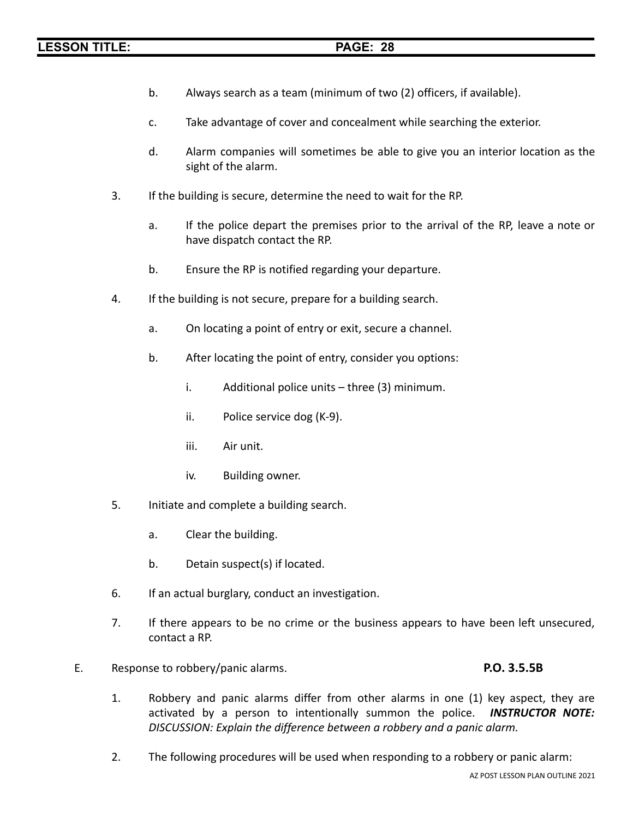- b. Always search as a team (minimum of two (2) officers, if available).
- c. Take advantage of cover and concealment while searching the exterior.
- d. Alarm companies will sometimes be able to give you an interior location as the sight of the alarm.
- 3. If the building is secure, determine the need to wait for the RP.
	- a. If the police depart the premises prior to the arrival of the RP, leave a note or have dispatch contact the RP.
	- b. Ensure the RP is notified regarding your departure.
- 4. If the building is not secure, prepare for a building search.
	- a. On locating a point of entry or exit, secure a channel.
	- b. After locating the point of entry, consider you options:
		- i. Additional police units three (3) minimum.
		- ii. Police service dog (K-9).
		- iii. Air unit.
		- iv. Building owner.
- 5. Initiate and complete a building search.
	- a. Clear the building.
	- b. Detain suspect(s) if located.
- 6. If an actual burglary, conduct an investigation.
- 7. If there appears to be no crime or the business appears to have been left unsecured, contact a RP.
- E. Response to robbery/panic alarms. **P.O. 3.5.5B**

- 1. Robbery and panic alarms differ from other alarms in one (1) key aspect, they are activated by a person to intentionally summon the police. *INSTRUCTOR NOTE: DISCUSSION: Explain the difference between a robbery and a panic alarm.*
- 2. The following procedures will be used when responding to a robbery or panic alarm: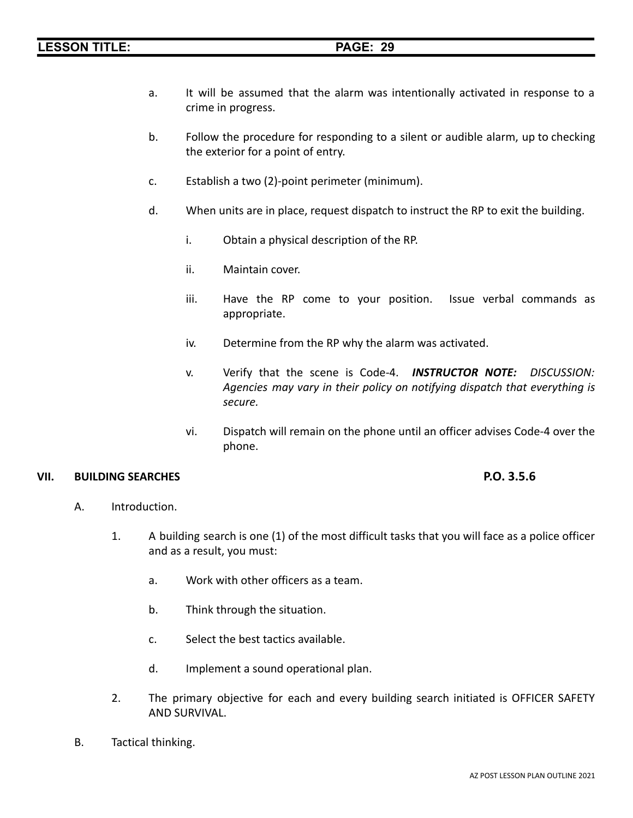- a. It will be assumed that the alarm was intentionally activated in response to a crime in progress.
- b. Follow the procedure for responding to a silent or audible alarm, up to checking the exterior for a point of entry.
- c. Establish a two (2)-point perimeter (minimum).
- d. When units are in place, request dispatch to instruct the RP to exit the building.
	- i. Obtain a physical description of the RP.
	- ii. Maintain cover.
	- iii. Have the RP come to your position. Issue verbal commands as appropriate.
	- iv. Determine from the RP why the alarm was activated.
	- v. Verify that the scene is Code-4. *INSTRUCTOR NOTE: DISCUSSION: Agencies may vary in their policy on notifying dispatch that everything is secure.*
	- vi. Dispatch will remain on the phone until an officer advises Code-4 over the phone.

### **VII. BUILDING SEARCHES P.O. 3.5.6**

- A. Introduction.
	- 1. A building search is one (1) of the most difficult tasks that you will face as a police officer and as a result, you must:
		- a. Work with other officers as a team.
		- b. Think through the situation.
		- c. Select the best tactics available.
		- d. Implement a sound operational plan.
	- 2. The primary objective for each and every building search initiated is OFFICER SAFETY AND SURVIVAL.
- B. Tactical thinking.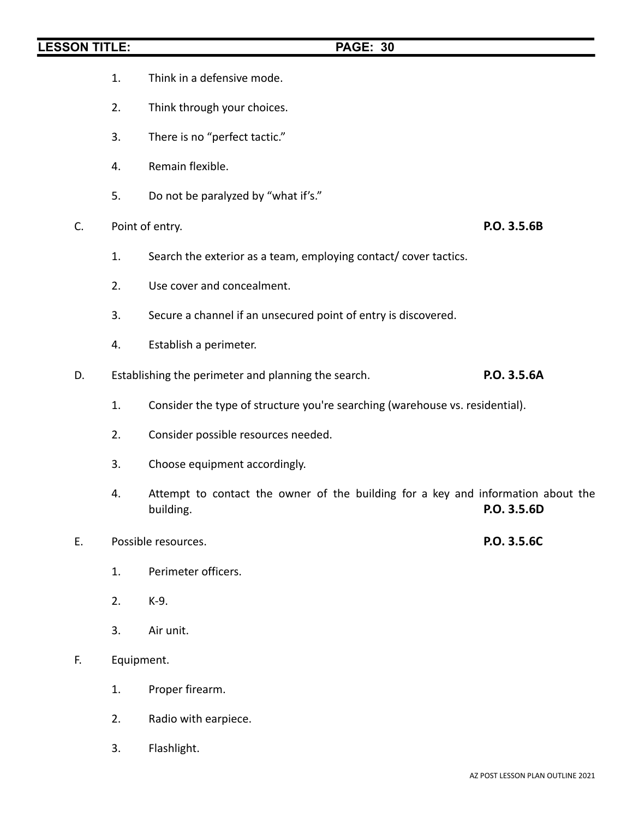# **LESSON TITLE: PAGE: 30** 1. Think in a defensive mode. 2. Think through your choices. 3. There is no "perfect tactic." 4. Remain flexible. 5. Do not be paralyzed by "what if's." C. Point of entry. **P.O. 3.5.6B** 1. Search the exterior as a team, employing contact/ cover tactics. 2. Use cover and concealment. 3. Secure a channel if an unsecured point of entry is discovered. 4. Establish a perimeter. D. Establishing the perimeter and planning the search. **P.O. 3.5.6A** 1. Consider the type of structure you're searching (warehouse vs. residential). 2. Consider possible resources needed. 3. Choose equipment accordingly. 4. Attempt to contact the owner of the building for a key and information about the building. **P.O. 3.5.6D** E. Possible resources. **P.O. 3.5.6C** 1. Perimeter officers.

- 2. K-9.
- 3. Air unit.

### F. Equipment.

- 1. Proper firearm.
- 2. Radio with earpiece.
- 3. Flashlight.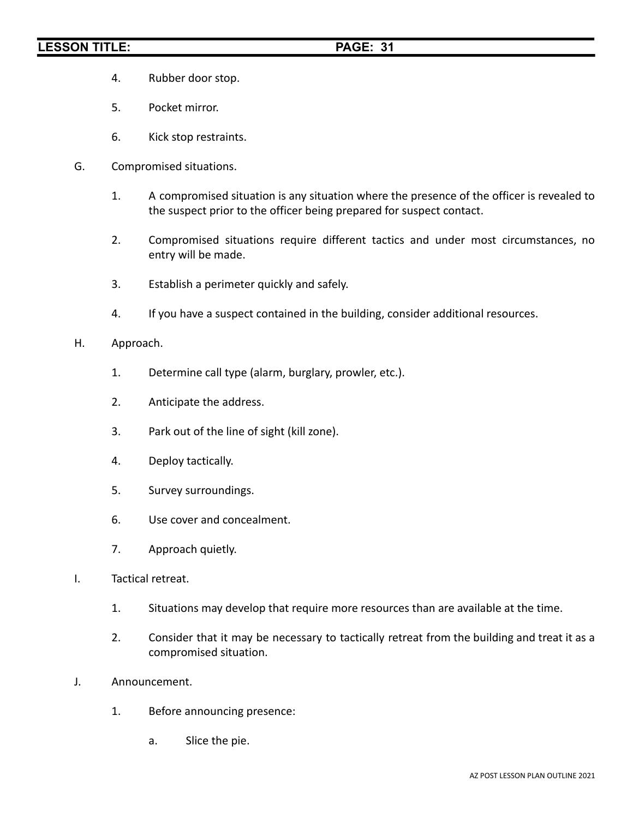- 4. Rubber door stop.
- 5. Pocket mirror.
- 6. Kick stop restraints.
- G. Compromised situations.
	- 1. A compromised situation is any situation where the presence of the officer is revealed to the suspect prior to the officer being prepared for suspect contact.
	- 2. Compromised situations require different tactics and under most circumstances, no entry will be made.
	- 3. Establish a perimeter quickly and safely.
	- 4. If you have a suspect contained in the building, consider additional resources.
- H. Approach.
	- 1. Determine call type (alarm, burglary, prowler, etc.).
	- 2. Anticipate the address.
	- 3. Park out of the line of sight (kill zone).
	- 4. Deploy tactically.
	- 5. Survey surroundings.
	- 6. Use cover and concealment.
	- 7. Approach quietly.
- I. Tactical retreat.
	- 1. Situations may develop that require more resources than are available at the time.
	- 2. Consider that it may be necessary to tactically retreat from the building and treat it as a compromised situation.
- J. Announcement.
	- 1. Before announcing presence:
		- a. Slice the pie.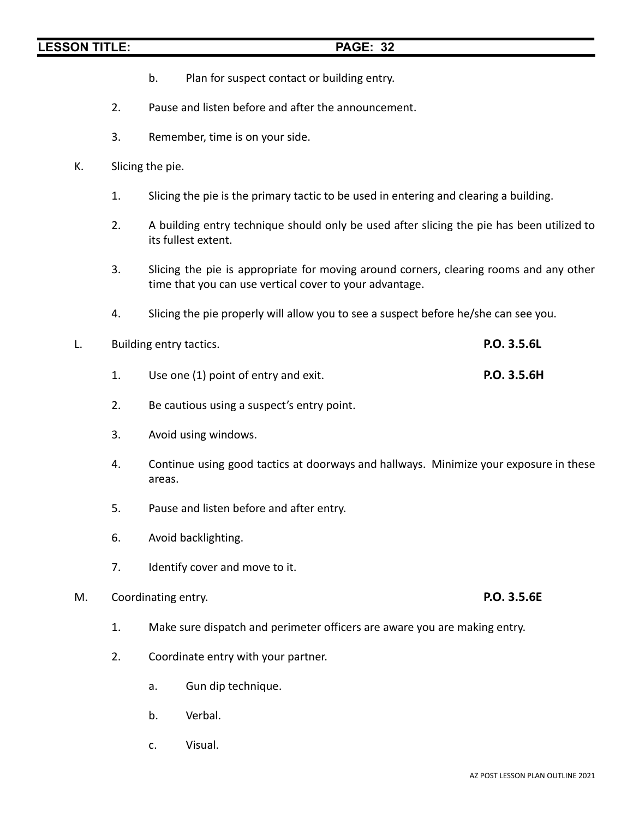- b. Plan for suspect contact or building entry.
- 2. Pause and listen before and after the announcement.
- 3. Remember, time is on your side.
- K. Slicing the pie.
	- 1. Slicing the pie is the primary tactic to be used in entering and clearing a building.
	- 2. A building entry technique should only be used after slicing the pie has been utilized to its fullest extent.
	- 3. Slicing the pie is appropriate for moving around corners, clearing rooms and any other time that you can use vertical cover to your advantage.
	- 4. Slicing the pie properly will allow you to see a suspect before he/she can see you.

| L. | Building entry tactics. | P.O. 3.5.6L |
|----|-------------------------|-------------|
|    |                         |             |

- 1. Use one (1) point of entry and exit. **P.O. 3.5.6H**
- 2. Be cautious using a suspect's entry point.
- 3. Avoid using windows.
- 4. Continue using good tactics at doorways and hallways. Minimize your exposure in these areas.
- 5. Pause and listen before and after entry.
- 6. Avoid backlighting.
- 7. Identify cover and move to it.
- M. Coordinating entry. **P.O. 3.5.6E**
	- 1. Make sure dispatch and perimeter officers are aware you are making entry.
	- 2. Coordinate entry with your partner.
		- a. Gun dip technique.
		- b. Verbal.
		- c. Visual.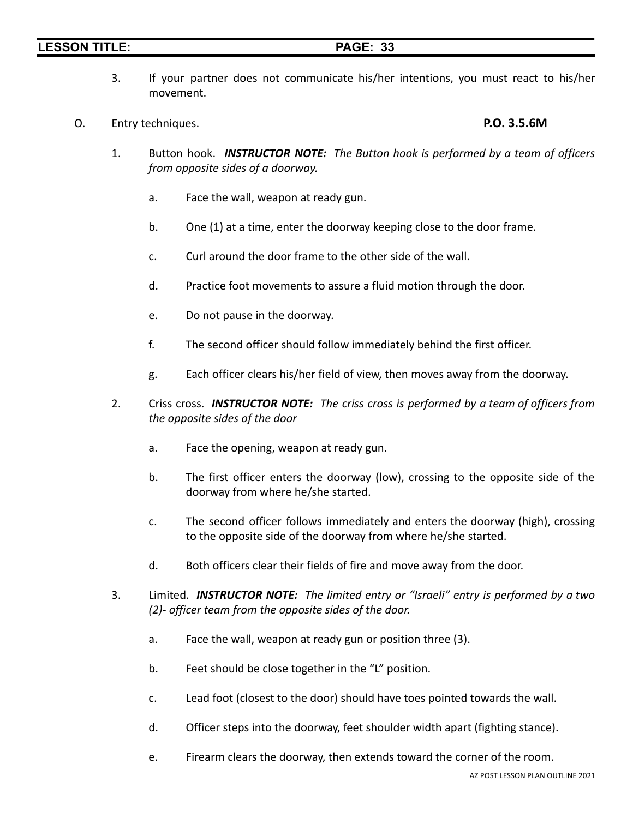- 3. If your partner does not communicate his/her intentions, you must react to his/her movement.
- O. Entry techniques. **P.O. 3.5.6M**

- 1. Button hook. *INSTRUCTOR NOTE: The Button hook is performed by a team of officers from opposite sides of a doorway.*
	- a. Face the wall, weapon at ready gun.
	- b. One (1) at a time, enter the doorway keeping close to the door frame.
	- c. Curl around the door frame to the other side of the wall.
	- d. Practice foot movements to assure a fluid motion through the door.
	- e. Do not pause in the doorway.
	- f. The second officer should follow immediately behind the first officer.
	- g. Each officer clears his/her field of view, then moves away from the doorway.
- 2. Criss cross. *INSTRUCTOR NOTE: The criss cross is performed by a team of officers from the opposite sides of the door*
	- a. Face the opening, weapon at ready gun.
	- b. The first officer enters the doorway (low), crossing to the opposite side of the doorway from where he/she started.
	- c. The second officer follows immediately and enters the doorway (high), crossing to the opposite side of the doorway from where he/she started.
	- d. Both officers clear their fields of fire and move away from the door.
- 3. Limited. *INSTRUCTOR NOTE: The limited entry or "Israeli" entry is performed by a two (2)- officer team from the opposite sides of the door.*
	- a. Face the wall, weapon at ready gun or position three (3).
	- b. Feet should be close together in the "L" position.
	- c. Lead foot (closest to the door) should have toes pointed towards the wall.
	- d. Officer steps into the doorway, feet shoulder width apart (fighting stance).
	- e. Firearm clears the doorway, then extends toward the corner of the room.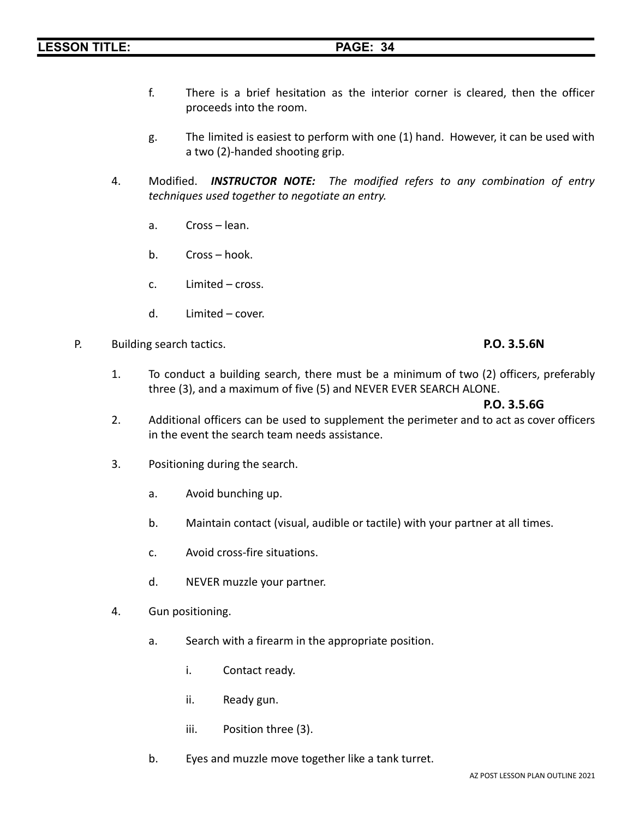- f. There is a brief hesitation as the interior corner is cleared, then the officer proceeds into the room.
- g. The limited is easiest to perform with one (1) hand. However, it can be used with a two (2)-handed shooting grip.
- 4. Modified. *INSTRUCTOR NOTE: The modified refers to any combination of entry techniques used together to negotiate an entry.*
	- a. Cross lean.
	- b. Cross hook.
	- c. Limited cross.
	- d. Limited cover.
- P. Building search tactics. **P.O. 3.5.6N**

1. To conduct a building search, there must be a minimum of two (2) officers, preferably three (3), and a maximum of five (5) and NEVER EVER SEARCH ALONE.

### **P.O. 3.5.6G**

- 2. Additional officers can be used to supplement the perimeter and to act as cover officers in the event the search team needs assistance.
- 3. Positioning during the search.
	- a. Avoid bunching up.
	- b. Maintain contact (visual, audible or tactile) with your partner at all times.
	- c. Avoid cross-fire situations.
	- d. NEVER muzzle your partner.
- 4. Gun positioning.
	- a. Search with a firearm in the appropriate position.
		- i. Contact ready.
		- ii. Ready gun.
		- iii. Position three (3).
	- b. Eyes and muzzle move together like a tank turret.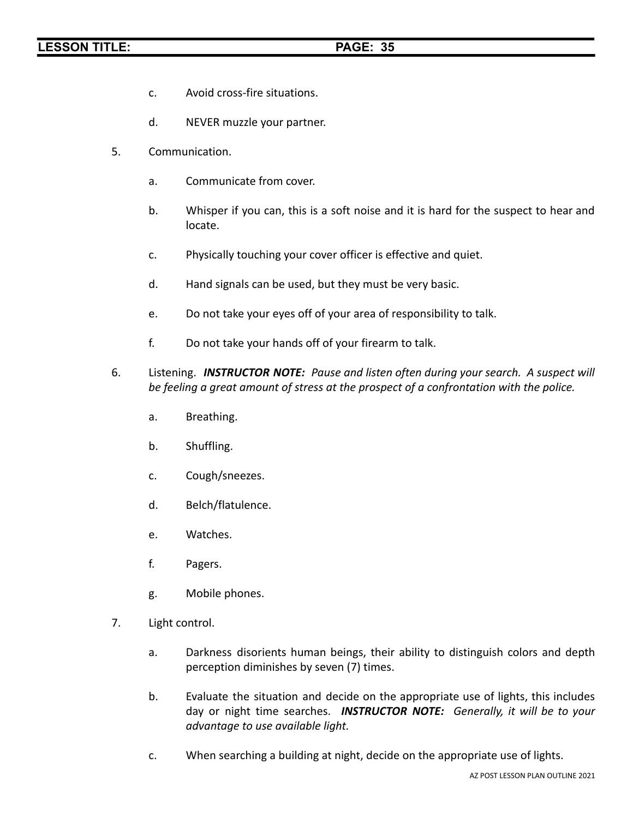- c. Avoid cross-fire situations.
- d. NEVER muzzle your partner.
- 5. Communication.
	- a. Communicate from cover.
	- b. Whisper if you can, this is a soft noise and it is hard for the suspect to hear and locate.
	- c. Physically touching your cover officer is effective and quiet.
	- d. Hand signals can be used, but they must be very basic.
	- e. Do not take your eyes off of your area of responsibility to talk.
	- f. Do not take your hands off of your firearm to talk.
- 6. Listening. *INSTRUCTOR NOTE: Pause and listen often during your search. A suspect will be feeling a great amount of stress at the prospect of a confrontation with the police.*
	- a. Breathing.
	- b. Shuffling.
	- c. Cough/sneezes.
	- d. Belch/flatulence.
	- e. Watches.
	- f. Pagers.
	- g. Mobile phones.
- 7. Light control.
	- a. Darkness disorients human beings, their ability to distinguish colors and depth perception diminishes by seven (7) times.
	- b. Evaluate the situation and decide on the appropriate use of lights, this includes day or night time searches. *INSTRUCTOR NOTE: Generally, it will be to your advantage to use available light.*
	- c. When searching a building at night, decide on the appropriate use of lights.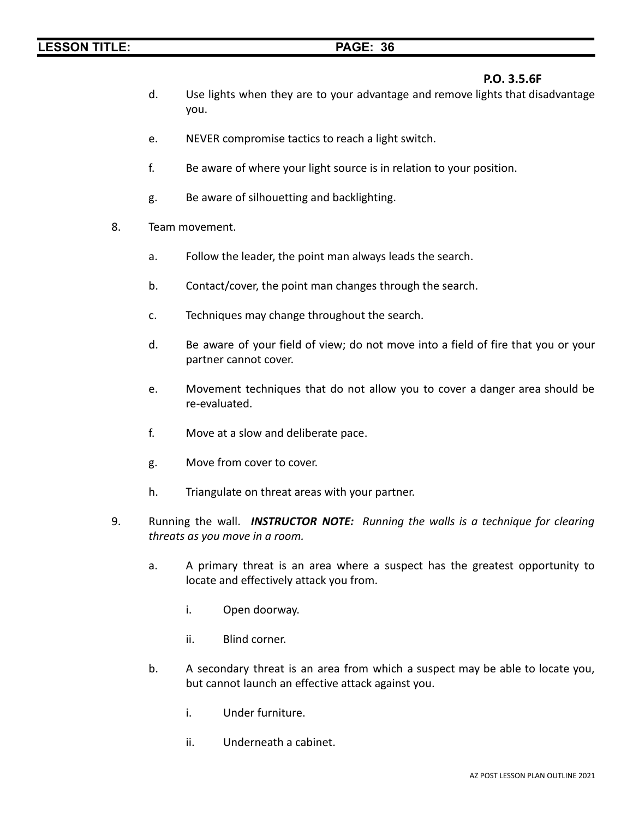### **P.O. 3.5.6F**

- d. Use lights when they are to your advantage and remove lights that disadvantage you.
- e. NEVER compromise tactics to reach a light switch.
- f. Be aware of where your light source is in relation to your position.
- g. Be aware of silhouetting and backlighting.
- 8. Team movement.
	- a. Follow the leader, the point man always leads the search.
	- b. Contact/cover, the point man changes through the search.
	- c. Techniques may change throughout the search.
	- d. Be aware of your field of view; do not move into a field of fire that you or your partner cannot cover.
	- e. Movement techniques that do not allow you to cover a danger area should be re-evaluated.
	- f. Move at a slow and deliberate pace.
	- g. Move from cover to cover.
	- h. Triangulate on threat areas with your partner.
- 9. Running the wall. *INSTRUCTOR NOTE: Running the walls is a technique for clearing threats as you move in a room.*
	- a. A primary threat is an area where a suspect has the greatest opportunity to locate and effectively attack you from.
		- i. Open doorway.
		- ii. Blind corner.
	- b. A secondary threat is an area from which a suspect may be able to locate you, but cannot launch an effective attack against you.
		- i. Under furniture.
		- ii. Underneath a cabinet.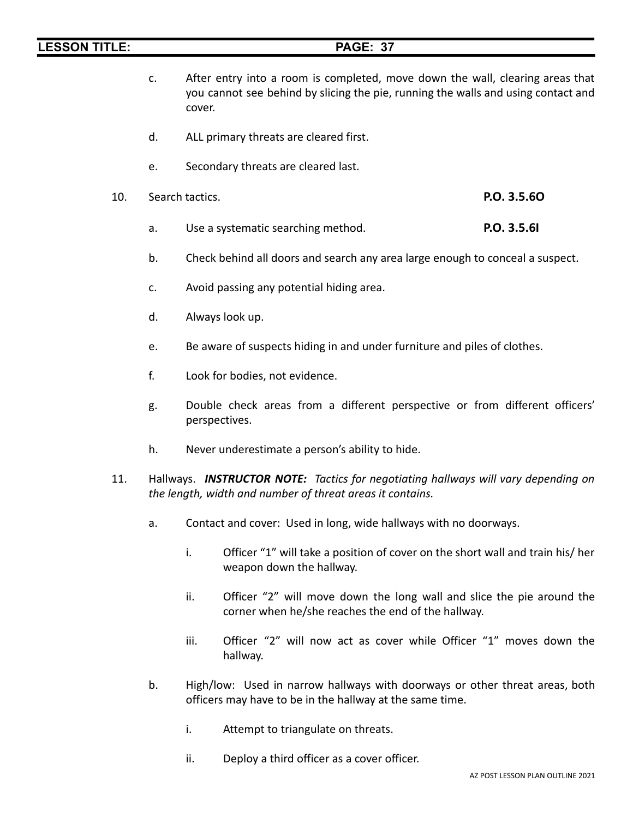| <b>LESSON TITLE:</b> |    | <b>PAGE: 37</b>                                                                                                                                                              |             |
|----------------------|----|------------------------------------------------------------------------------------------------------------------------------------------------------------------------------|-------------|
|                      | c. | After entry into a room is completed, move down the wall, clearing areas that<br>you cannot see behind by slicing the pie, running the walls and using contact and<br>cover. |             |
|                      | d. | ALL primary threats are cleared first.                                                                                                                                       |             |
|                      | e. | Secondary threats are cleared last.                                                                                                                                          |             |
| 10.                  |    | Search tactics.                                                                                                                                                              | P.O. 3.5.60 |
|                      | a. | Use a systematic searching method.                                                                                                                                           | P.O. 3.5.61 |
|                      | b. | Check behind all doors and search any area large enough to conceal a suspect.                                                                                                |             |
|                      | c. | Avoid passing any potential hiding area.                                                                                                                                     |             |
|                      | d. | Always look up.                                                                                                                                                              |             |
|                      | e. | Be aware of suspects hiding in and under furniture and piles of clothes.                                                                                                     |             |
|                      | f. | Look for bodies, not evidence.                                                                                                                                               |             |
|                      | g. | Double check areas from a different perspective or from different officers'<br>perspectives.                                                                                 |             |
|                      | h. | Never underestimate a person's ability to hide.                                                                                                                              |             |
| 11.                  |    | Hallways. <b>INSTRUCTOR NOTE:</b> Tactics for negotiating hallways will vary depending on<br>the length, width and number of threat areas it contains.                       |             |
|                      | a. | Contact and cover: Used in long, wide hallways with no doorways.                                                                                                             |             |
|                      |    | i.<br>Officer "1" will take a position of cover on the short wall and train his/ her<br>weapon down the hallway.                                                             |             |
|                      |    | Officer "2" will move down the long wall and slice the pie around the<br>ii.<br>corner when he/she reaches the end of the hallway.                                           |             |
|                      |    | Officer "2" will now act as cover while Officer "1" moves down the<br>iii.<br>hallway.                                                                                       |             |
|                      | b. | High/low: Used in narrow hallways with doorways or other threat areas, both<br>officers may have to be in the hallway at the same time.                                      |             |
|                      |    | Attempt to triangulate on threats.<br>i.                                                                                                                                     |             |

ii. Deploy a third officer as a cover officer.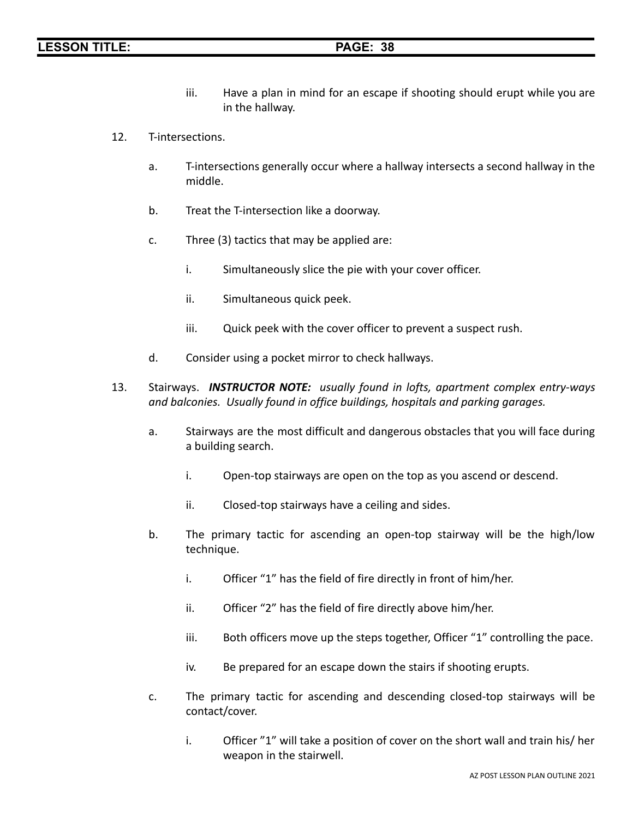- iii. Have a plan in mind for an escape if shooting should erupt while you are in the hallway.
- 12. T-intersections.
	- a. T-intersections generally occur where a hallway intersects a second hallway in the middle.
	- b. Treat the T-intersection like a doorway.
	- c. Three (3) tactics that may be applied are:
		- i. Simultaneously slice the pie with your cover officer.
		- ii. Simultaneous quick peek.
		- iii. Quick peek with the cover officer to prevent a suspect rush.
	- d. Consider using a pocket mirror to check hallways.
- 13. Stairways. *INSTRUCTOR NOTE: usually found in lofts, apartment complex entry-ways and balconies. Usually found in office buildings, hospitals and parking garages.*
	- a. Stairways are the most difficult and dangerous obstacles that you will face during a building search.
		- i. Open-top stairways are open on the top as you ascend or descend.
		- ii. Closed-top stairways have a ceiling and sides.
	- b. The primary tactic for ascending an open-top stairway will be the high/low technique.
		- i. Officer "1" has the field of fire directly in front of him/her.
		- ii. Officer "2" has the field of fire directly above him/her.
		- iii. Both officers move up the steps together, Officer "1" controlling the pace.
		- iv. Be prepared for an escape down the stairs if shooting erupts.
	- c. The primary tactic for ascending and descending closed-top stairways will be contact/cover.
		- i. Officer "1" will take a position of cover on the short wall and train his/ her weapon in the stairwell.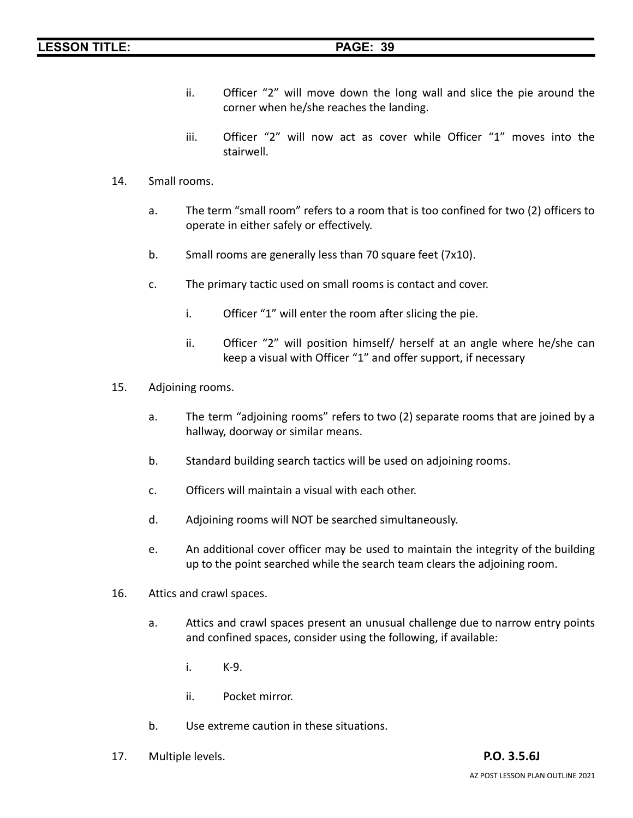- ii. Officer "2" will move down the long wall and slice the pie around the corner when he/she reaches the landing.
- iii. Officer "2" will now act as cover while Officer "1" moves into the stairwell.

### 14. Small rooms.

- a. The term "small room" refers to a room that is too confined for two (2) officers to operate in either safely or effectively.
- b. Small rooms are generally less than 70 square feet (7x10).
- c. The primary tactic used on small rooms is contact and cover.
	- i. Officer "1" will enter the room after slicing the pie.
	- ii. Officer "2" will position himself/ herself at an angle where he/she can keep a visual with Officer "1" and offer support, if necessary
- 15. Adjoining rooms.
	- a. The term "adjoining rooms" refers to two (2) separate rooms that are joined by a hallway, doorway or similar means.
	- b. Standard building search tactics will be used on adjoining rooms.
	- c. Officers will maintain a visual with each other.
	- d. Adjoining rooms will NOT be searched simultaneously.
	- e. An additional cover officer may be used to maintain the integrity of the building up to the point searched while the search team clears the adjoining room.
- 16. Attics and crawl spaces.
	- a. Attics and crawl spaces present an unusual challenge due to narrow entry points and confined spaces, consider using the following, if available:
		- i. K-9.
		- ii. Pocket mirror.
	- b. Use extreme caution in these situations.
- 17. Multiple levels. **P.O. 3.5.6J**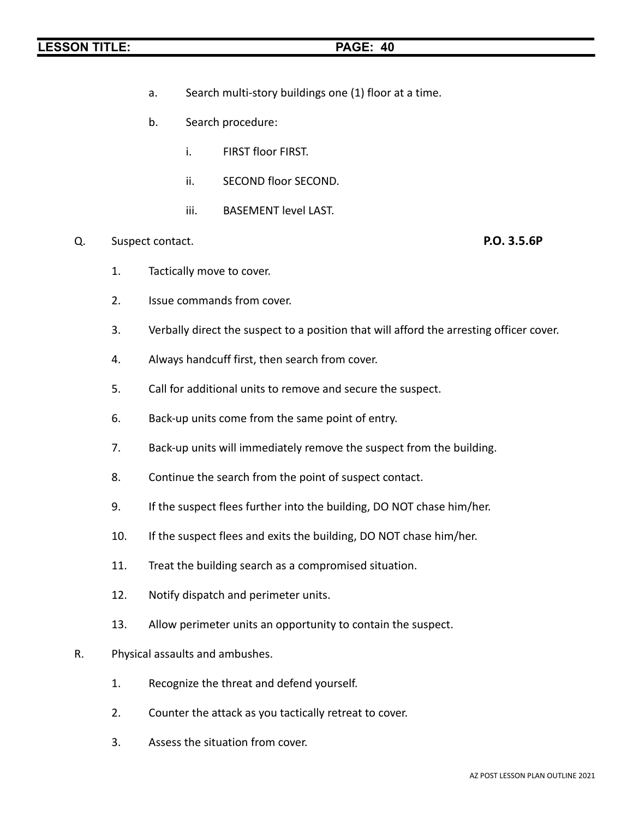- a. Search multi-story buildings one (1) floor at a time.
- b. Search procedure:
	- i. FIRST floor FIRST.
	- ii. SECOND floor SECOND.
	- iii. BASEMENT level LAST.
- Q. Suspect contact. **P.O. 3.5.6P**

- 1. Tactically move to cover.
- 2. Issue commands from cover.
- 3. Verbally direct the suspect to a position that will afford the arresting officer cover.
- 4. Always handcuff first, then search from cover.
- 5. Call for additional units to remove and secure the suspect.
- 6. Back-up units come from the same point of entry.
- 7. Back-up units will immediately remove the suspect from the building.
- 8. Continue the search from the point of suspect contact.
- 9. If the suspect flees further into the building, DO NOT chase him/her.
- 10. If the suspect flees and exits the building, DO NOT chase him/her.
- 11. Treat the building search as a compromised situation.
- 12. Notify dispatch and perimeter units.
- 13. Allow perimeter units an opportunity to contain the suspect.
- R. Physical assaults and ambushes.
	- 1. Recognize the threat and defend yourself.
	- 2. Counter the attack as you tactically retreat to cover.
	- 3. Assess the situation from cover.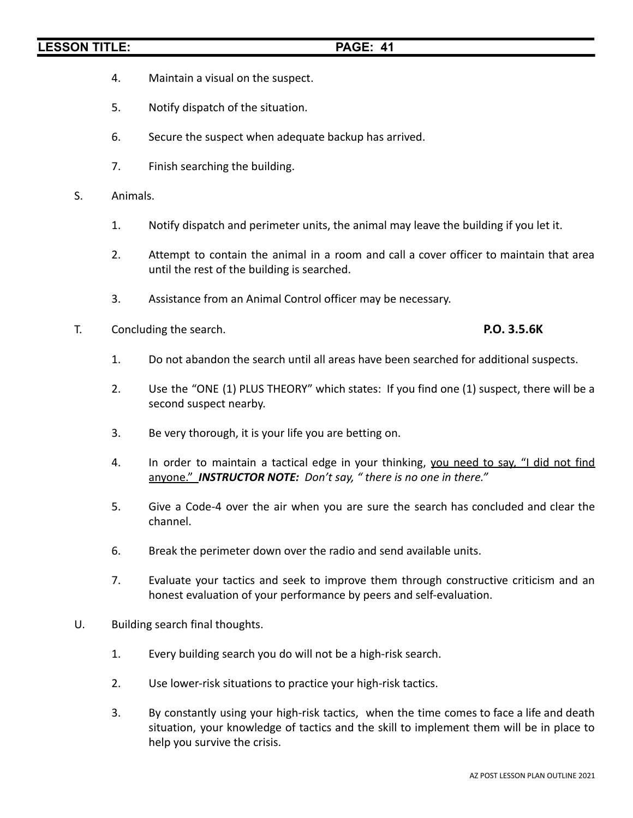- 4. Maintain a visual on the suspect.
- 5. Notify dispatch of the situation.
- 6. Secure the suspect when adequate backup has arrived.
- 7. Finish searching the building.
- S. Animals.
	- 1. Notify dispatch and perimeter units, the animal may leave the building if you let it.
	- 2. Attempt to contain the animal in a room and call a cover officer to maintain that area until the rest of the building is searched.
	- 3. Assistance from an Animal Control officer may be necessary.
- T. Concluding the search. **P.O. 3.5.6K**

- 1. Do not abandon the search until all areas have been searched for additional suspects.
- 2. Use the "ONE (1) PLUS THEORY" which states: If you find one (1) suspect, there will be a second suspect nearby.
- 3. Be very thorough, it is your life you are betting on.
- 4. In order to maintain a tactical edge in your thinking, you need to say, "I did not find anyone." *INSTRUCTOR NOTE: Don't say, " there is no one in there."*
- 5. Give a Code-4 over the air when you are sure the search has concluded and clear the channel.
- 6. Break the perimeter down over the radio and send available units.
- 7. Evaluate your tactics and seek to improve them through constructive criticism and an honest evaluation of your performance by peers and self-evaluation.
- U. Building search final thoughts.
	- 1. Every building search you do will not be a high-risk search.
	- 2. Use lower-risk situations to practice your high-risk tactics.
	- 3. By constantly using your high-risk tactics, when the time comes to face a life and death situation, your knowledge of tactics and the skill to implement them will be in place to help you survive the crisis.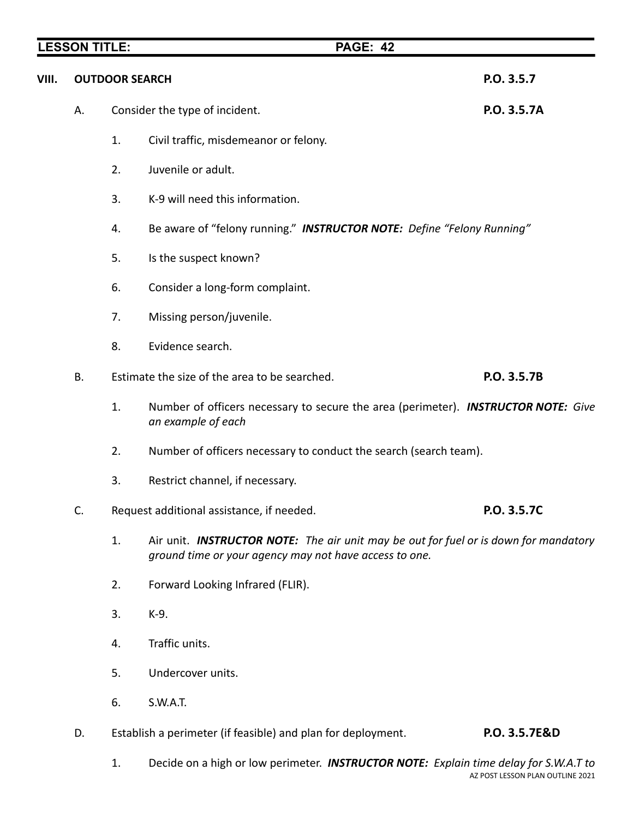| VIII. |                      | <b>OUTDOOR SEARCH</b> |                                                                                                                                                       | P.O. 3.5.7  |  |  |
|-------|----------------------|-----------------------|-------------------------------------------------------------------------------------------------------------------------------------------------------|-------------|--|--|
|       | Α.                   |                       | Consider the type of incident.                                                                                                                        | P.O. 3.5.7A |  |  |
|       |                      | 1.                    | Civil traffic, misdemeanor or felony.                                                                                                                 |             |  |  |
|       |                      | 2.                    | Juvenile or adult.                                                                                                                                    |             |  |  |
|       |                      | 3.                    | K-9 will need this information.                                                                                                                       |             |  |  |
|       |                      | 4.                    | Be aware of "felony running." INSTRUCTOR NOTE: Define "Felony Running"                                                                                |             |  |  |
|       |                      | 5.                    | Is the suspect known?                                                                                                                                 |             |  |  |
|       |                      | 6.                    | Consider a long-form complaint.                                                                                                                       |             |  |  |
|       |                      | 7.                    | Missing person/juvenile.                                                                                                                              |             |  |  |
|       |                      | 8.                    | Evidence search.                                                                                                                                      |             |  |  |
|       | <b>B.</b>            |                       | Estimate the size of the area to be searched.                                                                                                         | P.O. 3.5.7B |  |  |
|       |                      | 1.                    | Number of officers necessary to secure the area (perimeter). INSTRUCTOR NOTE: Give<br>an example of each                                              |             |  |  |
|       |                      | 2.                    | Number of officers necessary to conduct the search (search team).                                                                                     |             |  |  |
|       |                      | 3.                    | Restrict channel, if necessary.                                                                                                                       |             |  |  |
|       | C.                   |                       | Request additional assistance, if needed.                                                                                                             | P.O. 3.5.7C |  |  |
|       |                      | 1.                    | Air unit. <b>INSTRUCTOR NOTE:</b> The air unit may be out for fuel or is down for mandatory<br>ground time or your agency may not have access to one. |             |  |  |
|       |                      | 2.                    | Forward Looking Infrared (FLIR).                                                                                                                      |             |  |  |
|       |                      | 3.                    | K-9.                                                                                                                                                  |             |  |  |
|       | Traffic units.<br>4. |                       |                                                                                                                                                       |             |  |  |

- 5. Undercover units.
- 6. S.W.A.T.
- D. Establish a perimeter (if feasible) and plan for deployment. **P.O. 3.5.7E&D**
	- 1. Decide on a high or low perimeter. *INSTRUCTOR NOTE: Explain time delay for S.W.A.T to* AZ POST LESSON PLAN OUTLINE 2021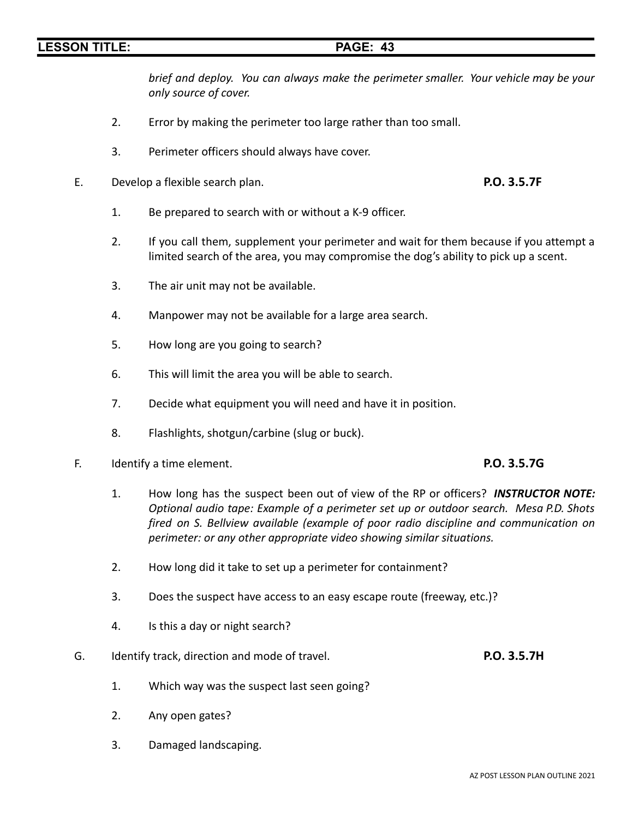*brief and deploy. You can always make the perimeter smaller. Your vehicle may be your only source of cover.*

- 2. Error by making the perimeter too large rather than too small.
- 3. Perimeter officers should always have cover.
- E. Develop a flexible search plan. **P.O. 3.5.7F**

- 1. Be prepared to search with or without a K-9 officer.
- 2. If you call them, supplement your perimeter and wait for them because if you attempt a limited search of the area, you may compromise the dog's ability to pick up a scent.
- 3. The air unit may not be available.
- 4. Manpower may not be available for a large area search.
- 5. How long are you going to search?
- 6. This will limit the area you will be able to search.
- 7. Decide what equipment you will need and have it in position.
- 8. Flashlights, shotgun/carbine (slug or buck).
- F. Identify a time element. **P.O. 3.5.7G**

- 1. How long has the suspect been out of view of the RP or officers? *INSTRUCTOR NOTE: Optional audio tape: Example of a perimeter set up or outdoor search. Mesa P.D. Shots fired on S. Bellview available (example of poor radio discipline and communication on perimeter: or any other appropriate video showing similar situations.*
- 2. How long did it take to set up a perimeter for containment?
- 3. Does the suspect have access to an easy escape route (freeway, etc.)?
- 4. Is this a day or night search?
- G. Identify track, direction and mode of travel. **P.O. 3.5.7H**
	- 1. Which way was the suspect last seen going?
	- 2. Any open gates?
	- 3. Damaged landscaping.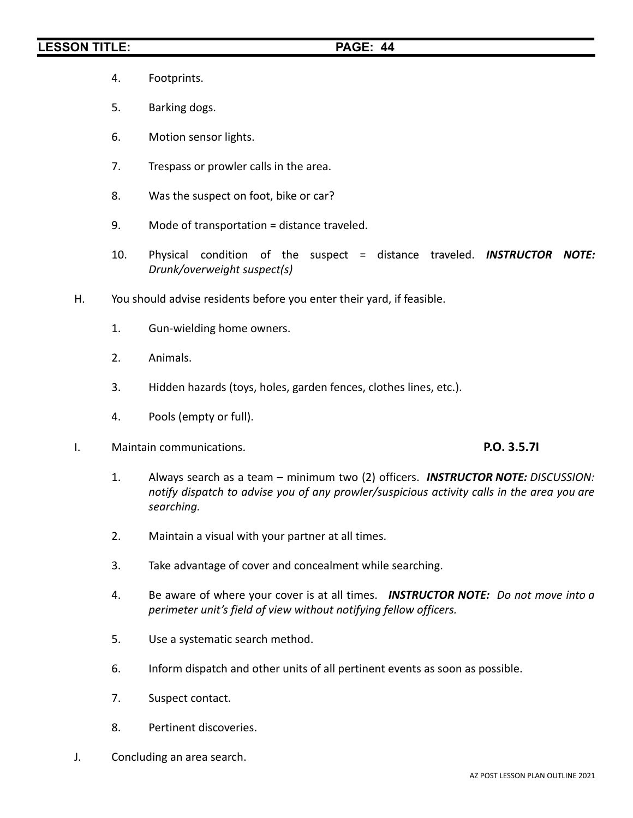- 4. Footprints.
- 5. Barking dogs.
- 6. Motion sensor lights.
- 7. Trespass or prowler calls in the area.
- 8. Was the suspect on foot, bike or car?
- 9. Mode of transportation = distance traveled.
- 10. Physical condition of the suspect = distance traveled. *INSTRUCTOR NOTE: Drunk/overweight suspect(s)*
- H. You should advise residents before you enter their yard, if feasible.
	- 1. Gun-wielding home owners.
	- 2. Animals.
	- 3. Hidden hazards (toys, holes, garden fences, clothes lines, etc.).
	- 4. Pools (empty or full).
- I. Maintain communications. **P.O. 3.5.7I**

- 1. Always search as a team minimum two (2) officers. *INSTRUCTOR NOTE: DISCUSSION: notify dispatch to advise you of any prowler/suspicious activity calls in the area you are searching.*
- 2. Maintain a visual with your partner at all times.
- 3. Take advantage of cover and concealment while searching.
- 4. Be aware of where your cover is at all times. *INSTRUCTOR NOTE: Do not move into a perimeter unit's field of view without notifying fellow officers.*
- 5. Use a systematic search method.
- 6. Inform dispatch and other units of all pertinent events as soon as possible.
- 7. Suspect contact.
- 8. Pertinent discoveries.
- J. Concluding an area search.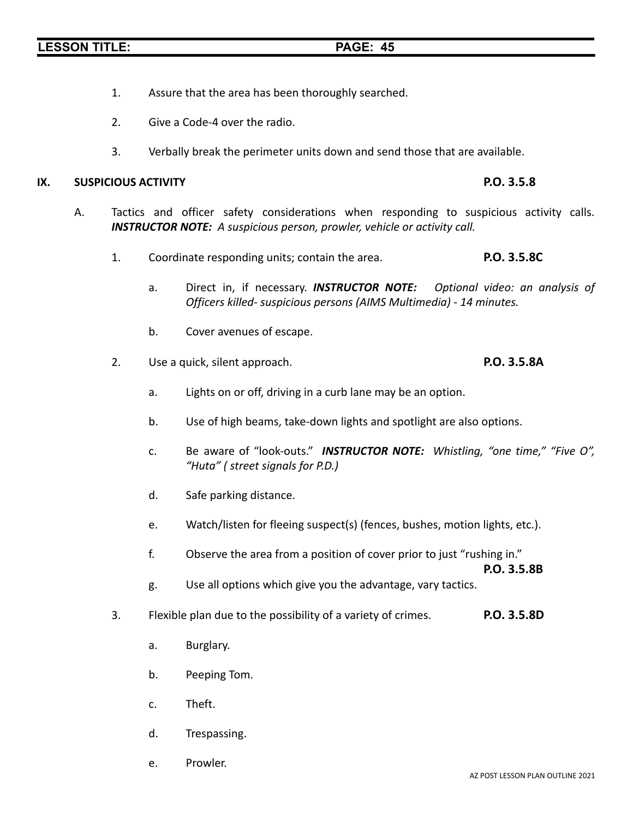- 1. Assure that the area has been thoroughly searched.
- 2. Give a Code-4 over the radio.
- 3. Verbally break the perimeter units down and send those that are available.

### **IX. SUSPICIOUS ACTIVITY P.O. 3.5.8**

- A. Tactics and officer safety considerations when responding to suspicious activity calls. *INSTRUCTOR NOTE: A suspicious person, prowler, vehicle or activity call.*
	- 1. Coordinate responding units; contain the area. **P.O. 3.5.8C**
		- a. Direct in, if necessary. *INSTRUCTOR NOTE: Optional video: an analysis of Officers killed- suspicious persons (AIMS Multimedia) - 14 minutes.*
		- b. Cover avenues of escape.
	- 2. Use a quick, silent approach. **P.O. 3.5.8A**
		- a. Lights on or off, driving in a curb lane may be an option.
		- b. Use of high beams, take-down lights and spotlight are also options.
		- c. Be aware of "look-outs." *INSTRUCTOR NOTE: Whistling, "one time," "Five O", "Huta" ( street signals for P.D.)*
		- d. Safe parking distance.
		- e. Watch/listen for fleeing suspect(s) (fences, bushes, motion lights, etc.).
		- f. Observe the area from a position of cover prior to just "rushing in."

**P.O. 3.5.8B**

- g. Use all options which give you the advantage, vary tactics.
- 3. Flexible plan due to the possibility of a variety of crimes. **P.O. 3.5.8D**
	- a. Burglary.
	- b. Peeping Tom.
	- c. Theft.
	- d. Trespassing.
	- e. Prowler.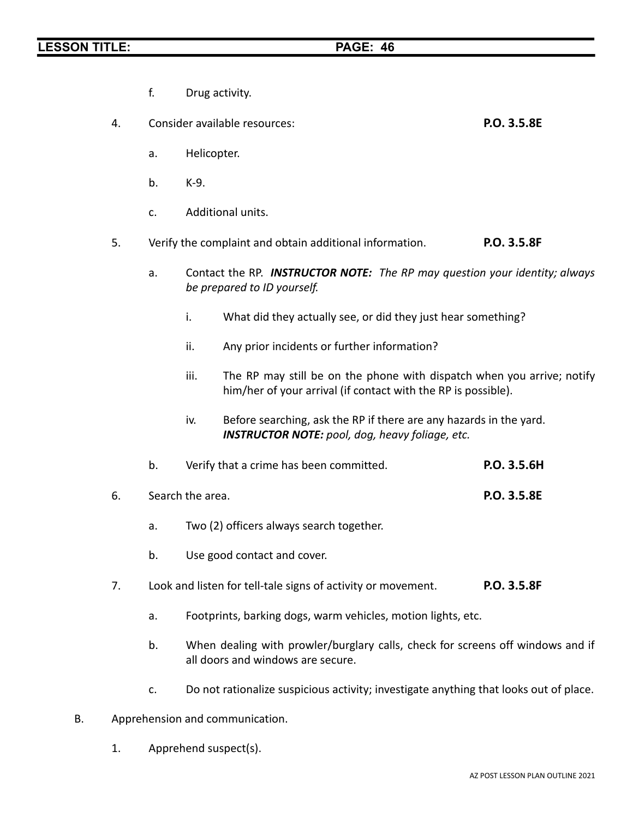- f. Drug activity.
- 4. Consider available resources: **P.O. 3.5.8E**
	- a. Helicopter.
	- b. K-9.
	- c. Additional units.
- 5. Verify the complaint and obtain additional information. **P.O. 3.5.8F**
	- a. Contact the RP. *INSTRUCTOR NOTE: The RP may question your identity; always be prepared to ID yourself.*
		- i. What did they actually see, or did they just hear something?
		- ii. Any prior incidents or further information?
		- iii. The RP may still be on the phone with dispatch when you arrive; notify him/her of your arrival (if contact with the RP is possible).
		- iv. Before searching, ask the RP if there are any hazards in the yard. *INSTRUCTOR NOTE: pool, dog, heavy foliage, etc.*
	- b. Verify that a crime has been committed. **P.O. 3.5.6H**
- 6. Search the area. **P.O. 3.5.8E**
	- a. Two (2) officers always search together.
	- b. Use good contact and cover.
- 7. Look and listen for tell-tale signs of activity or movement. **P.O. 3.5.8F**
	- a. Footprints, barking dogs, warm vehicles, motion lights, etc.
	- b. When dealing with prowler/burglary calls, check for screens off windows and if all doors and windows are secure.
	- c. Do not rationalize suspicious activity; investigate anything that looks out of place.
- B. Apprehension and communication.
	- 1. Apprehend suspect(s).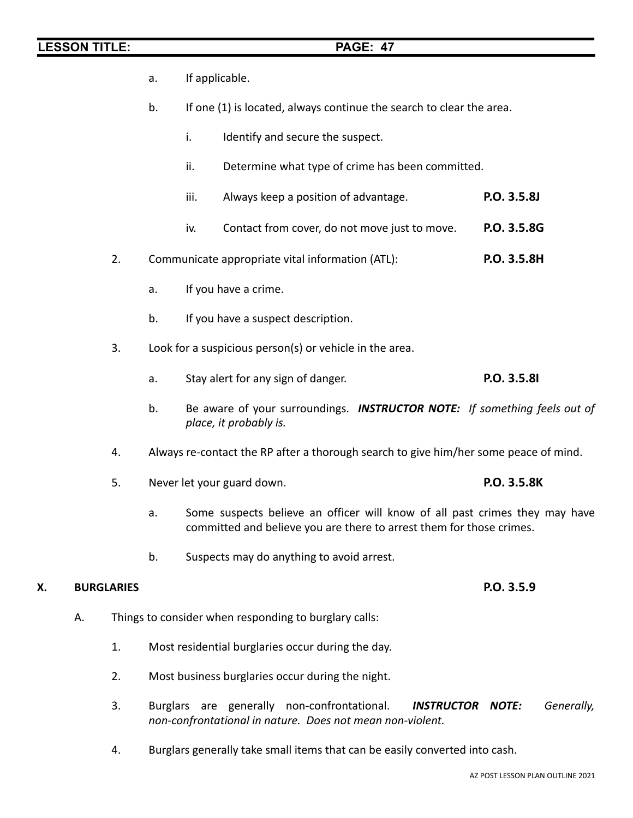a. If applicable.

b. If one (1) is located, always continue the search to clear the area.

- i. Identify and secure the suspect.
- ii. Determine what type of crime has been committed.
- iii. Always keep a position of advantage. **P.O. 3.5.8J**
- iv. Contact from cover, do not move just to move. **P.O. 3.5.8G**
- 2. Communicate appropriate vital information (ATL): **P.O. 3.5.8H**
	- a. If you have a crime.
	- b. If you have a suspect description.
- 3. Look for a suspicious person(s) or vehicle in the area.
	- a. Stay alert for any sign of danger. **P.O. 3.5.8I**
	- b. Be aware of your surroundings. *INSTRUCTOR NOTE: If something feels out of place, it probably is.*
- 4. Always re-contact the RP after a thorough search to give him/her some peace of mind.
- 5. Never let your guard down. **P.O. 3.5.8K**
	- a. Some suspects believe an officer will know of all past crimes they may have committed and believe you are there to arrest them for those crimes.
	- b. Suspects may do anything to avoid arrest.

### **X. BURGLARIES P.O. 3.5.9**

- A. Things to consider when responding to burglary calls:
	- 1. Most residential burglaries occur during the day.
	- 2. Most business burglaries occur during the night.
	- 3. Burglars are generally non-confrontational. *INSTRUCTOR NOTE: Generally, non-confrontational in nature. Does not mean non-violent.*
	- 4. Burglars generally take small items that can be easily converted into cash.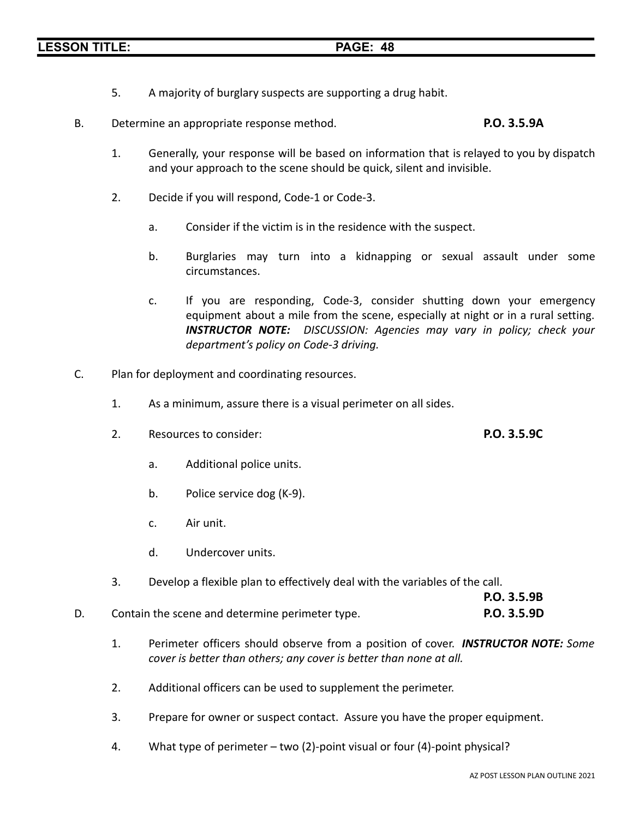- 5. A majority of burglary suspects are supporting a drug habit.
- B. Determine an appropriate response method. **P.O. 3.5.9A**
	- 1. Generally, your response will be based on information that is relayed to you by dispatch and your approach to the scene should be quick, silent and invisible.
	- 2. Decide if you will respond, Code-1 or Code-3.
		- a. Consider if the victim is in the residence with the suspect.
		- b. Burglaries may turn into a kidnapping or sexual assault under some circumstances.
		- c. If you are responding, Code-3, consider shutting down your emergency equipment about a mile from the scene, especially at night or in a rural setting. *INSTRUCTOR NOTE: DISCUSSION: Agencies may vary in policy; check your department's policy on Code-3 driving.*
- C. Plan for deployment and coordinating resources.
	- 1. As a minimum, assure there is a visual perimeter on all sides.
	- 2. Resources to consider: **P.O. 3.5.9C**
		- a. Additional police units.
		- b. Police service dog (K-9).
		- c. Air unit.
		- d. Undercover units.
	- 3. Develop a flexible plan to effectively deal with the variables of the call.

**P.O. 3.5.9B**

- D. Contain the scene and determine perimeter type. **P.O. 3.5.9D**
	- 1. Perimeter officers should observe from a position of cover. *INSTRUCTOR NOTE: Some cover is better than others; any cover is better than none at all.*
	- 2. Additional officers can be used to supplement the perimeter.
	- 3. Prepare for owner or suspect contact. Assure you have the proper equipment.
	- 4. What type of perimeter two (2)-point visual or four (4)-point physical?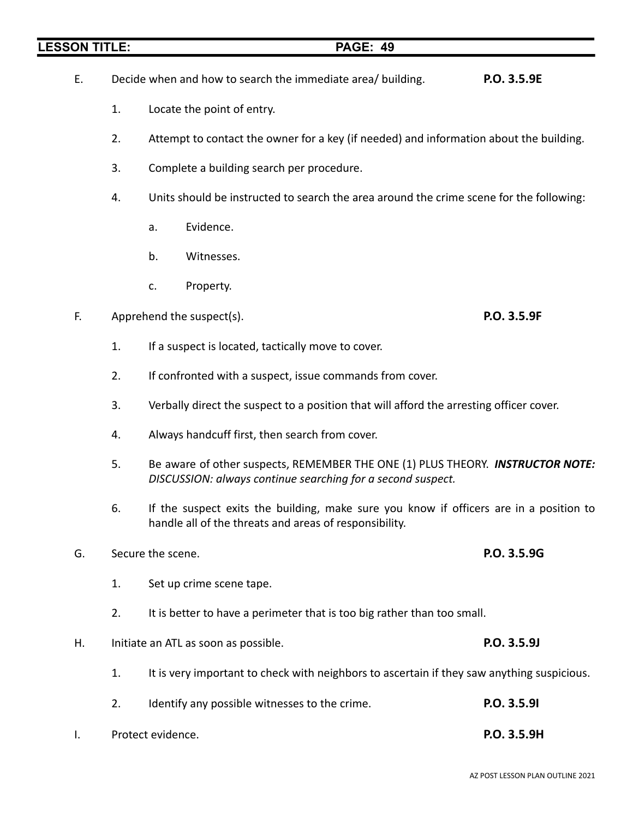- E. Decide when and how to search the immediate area/ building. **P.O. 3.5.9E**
	- 1. Locate the point of entry.
	- 2. Attempt to contact the owner for a key (if needed) and information about the building.
	- 3. Complete a building search per procedure.
	- 4. Units should be instructed to search the area around the crime scene for the following:
		- a. Evidence.
		- b. Witnesses.
		- c. Property.
- F. Apprehend the suspect(s). **P.O. 3.5.9F**
	- 1. If a suspect is located, tactically move to cover.
	- 2. If confronted with a suspect, issue commands from cover.
	- 3. Verbally direct the suspect to a position that will afford the arresting officer cover.
	- 4. Always handcuff first, then search from cover.
	- 5. Be aware of other suspects, REMEMBER THE ONE (1) PLUS THEORY. *INSTRUCTOR NOTE: DISCUSSION: always continue searching for a second suspect.*
	- 6. If the suspect exits the building, make sure you know if officers are in a position to handle all of the threats and areas of responsibility.
- G. Secure the scene. **P.O. 3.5.9G** 1. Set up crime scene tape.
	- 2. It is better to have a perimeter that is too big rather than too small.
- H. Initiate an ATL as soon as possible. **P.O. 3.5.9J**
	- 1. It is very important to check with neighbors to ascertain if they saw anything suspicious.
	- 2. Identify any possible witnesses to the crime. **P.O. 3.5.9I**
- I. Protect evidence. **P.O. 3.5.9H**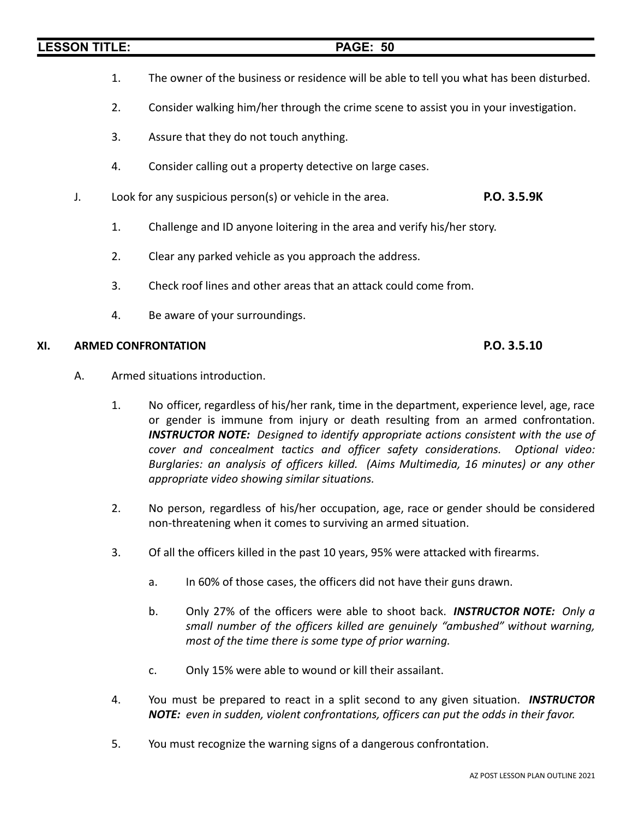- 1. The owner of the business or residence will be able to tell you what has been disturbed.
- 2. Consider walking him/her through the crime scene to assist you in your investigation.
- 3. Assure that they do not touch anything.
- 4. Consider calling out a property detective on large cases.
- J. Look for any suspicious person(s) or vehicle in the area. **P.O. 3.5.9K**
	- 1. Challenge and ID anyone loitering in the area and verify his/her story.
	- 2. Clear any parked vehicle as you approach the address.
	- 3. Check roof lines and other areas that an attack could come from.
	- 4. Be aware of your surroundings.

### **XI. ARMED CONFRONTATION P.O. 3.5.10**

- A. Armed situations introduction.
	- 1. No officer, regardless of his/her rank, time in the department, experience level, age, race or gender is immune from injury or death resulting from an armed confrontation. *INSTRUCTOR NOTE: Designed to identify appropriate actions consistent with the use of cover and concealment tactics and officer safety considerations. Optional video: Burglaries: an analysis of officers killed. (Aims Multimedia, 16 minutes) or any other appropriate video showing similar situations.*
	- 2. No person, regardless of his/her occupation, age, race or gender should be considered non-threatening when it comes to surviving an armed situation.
	- 3. Of all the officers killed in the past 10 years, 95% were attacked with firearms.
		- a. In 60% of those cases, the officers did not have their guns drawn.
		- b. Only 27% of the officers were able to shoot back. *INSTRUCTOR NOTE: Only a small number of the officers killed are genuinely "ambushed" without warning, most of the time there is some type of prior warning.*
		- c. Only 15% were able to wound or kill their assailant.
	- 4. You must be prepared to react in a split second to any given situation. *INSTRUCTOR NOTE: even in sudden, violent confrontations, officers can put the odds in their favor.*
	- 5. You must recognize the warning signs of a dangerous confrontation.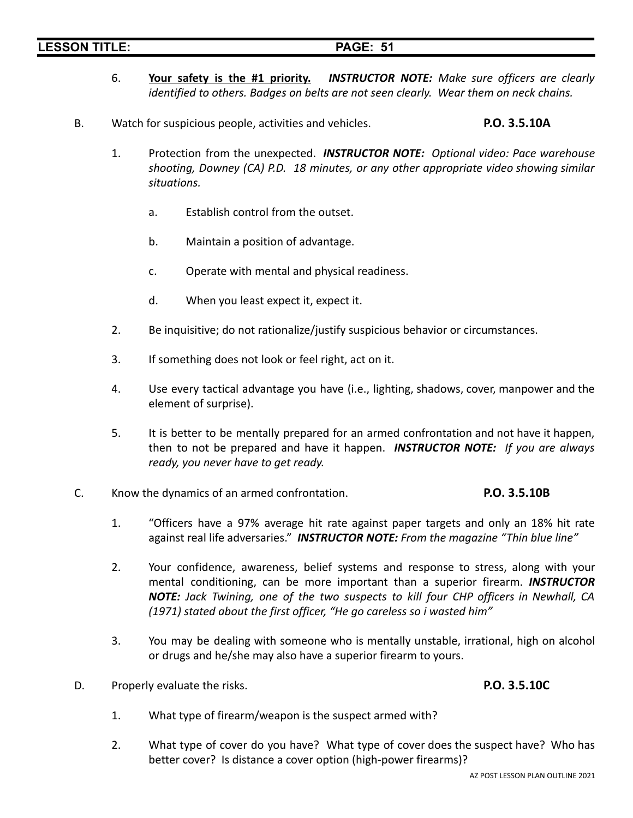- 6. **Your safety is the #1 priority.** *INSTRUCTOR NOTE: Make sure officers are clearly identified to others. Badges on belts are not seen clearly. Wear them on neck chains.*
- B. Watch for suspicious people, activities and vehicles. **P.O. 3.5.10A**
	- 1. Protection from the unexpected. *INSTRUCTOR NOTE: Optional video: Pace warehouse shooting, Downey (CA) P.D. 18 minutes, or any other appropriate video showing similar situations.*
		- a. Establish control from the outset.
		- b. Maintain a position of advantage.
		- c. Operate with mental and physical readiness.
		- d. When you least expect it, expect it.
	- 2. Be inquisitive; do not rationalize/justify suspicious behavior or circumstances.
	- 3. If something does not look or feel right, act on it.
	- 4. Use every tactical advantage you have (i.e., lighting, shadows, cover, manpower and the element of surprise).
	- 5. It is better to be mentally prepared for an armed confrontation and not have it happen, then to not be prepared and have it happen. *INSTRUCTOR NOTE: If you are always ready, you never have to get ready.*
- C. Know the dynamics of an armed confrontation. **P.O. 3.5.10B**
	- 1. "Officers have a 97% average hit rate against paper targets and only an 18% hit rate against real life adversaries." *INSTRUCTOR NOTE: From the magazine "Thin blue line"*
	- 2. Your confidence, awareness, belief systems and response to stress, along with your mental conditioning, can be more important than a superior firearm. *INSTRUCTOR NOTE: Jack Twining, one of the two suspects to kill four CHP officers in Newhall, CA (1971) stated about the first officer, "He go careless so i wasted him"*
	- 3. You may be dealing with someone who is mentally unstable, irrational, high on alcohol or drugs and he/she may also have a superior firearm to yours.
- D. Properly evaluate the risks. **P.O. 3.5.10C**

- 1. What type of firearm/weapon is the suspect armed with?
- 2. What type of cover do you have? What type of cover does the suspect have? Who has better cover? Is distance a cover option (high-power firearms)?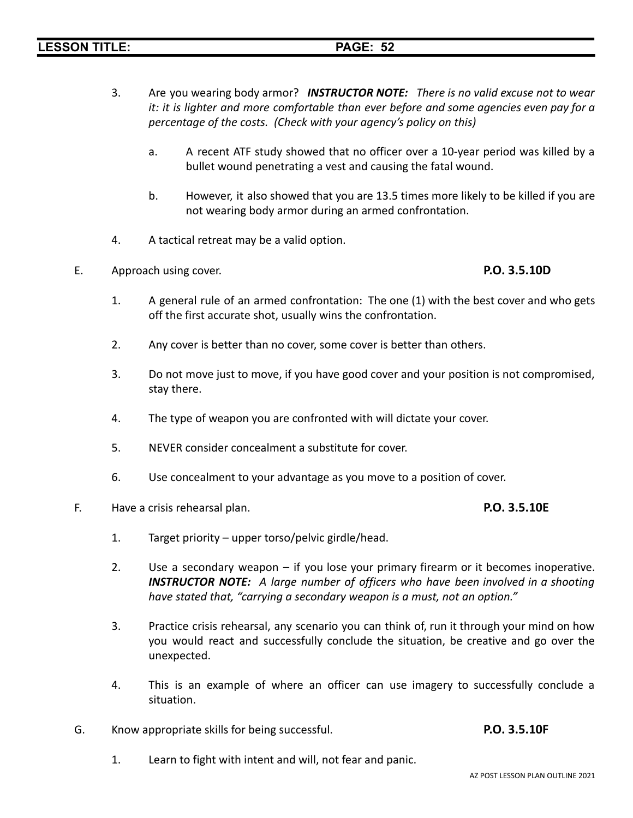- 3. Are you wearing body armor? *INSTRUCTOR NOTE: There is no valid excuse not to wear it: it is lighter and more comfortable than ever before and some agencies even pay for a percentage of the costs. (Check with your agency's policy on this)*
	- a. A recent ATF study showed that no officer over a 10-year period was killed by a bullet wound penetrating a vest and causing the fatal wound.
	- b. However, it also showed that you are 13.5 times more likely to be killed if you are not wearing body armor during an armed confrontation.
- 4. A tactical retreat may be a valid option.
- E. Approach using cover. **P.O. 3.5.10D**
	- 1. A general rule of an armed confrontation: The one (1) with the best cover and who gets off the first accurate shot, usually wins the confrontation.
	- 2. Any cover is better than no cover, some cover is better than others.
	- 3. Do not move just to move, if you have good cover and your position is not compromised, stay there.
	- 4. The type of weapon you are confronted with will dictate your cover.
	- 5. NEVER consider concealment a substitute for cover.
	- 6. Use concealment to your advantage as you move to a position of cover.
- F. Have a crisis rehearsal plan. **P.O. 3.5.10E**

- 1. Target priority upper torso/pelvic girdle/head.
- 2. Use a secondary weapon if you lose your primary firearm or it becomes inoperative. *INSTRUCTOR NOTE: A large number of officers who have been involved in a shooting have stated that, "carrying a secondary weapon is a must, not an option."*
- 3. Practice crisis rehearsal, any scenario you can think of, run it through your mind on how you would react and successfully conclude the situation, be creative and go over the unexpected.
- 4. This is an example of where an officer can use imagery to successfully conclude a situation.
- G. Know appropriate skills for being successful. **P.O. 3.5.10F**

1. Learn to fight with intent and will, not fear and panic.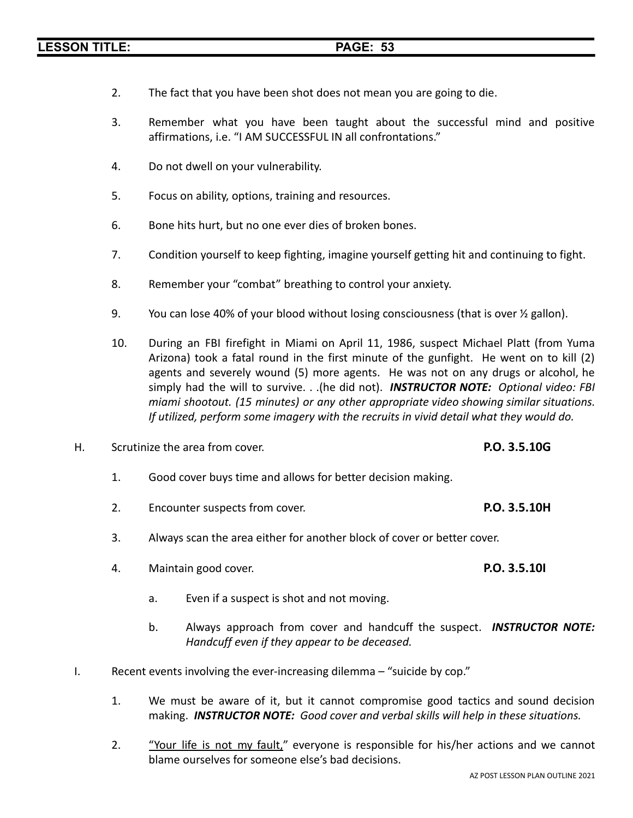- 2. The fact that you have been shot does not mean you are going to die.
- 3. Remember what you have been taught about the successful mind and positive affirmations, i.e. "I AM SUCCESSFUL IN all confrontations."
- 4. Do not dwell on your vulnerability.
- 5. Focus on ability, options, training and resources.
- 6. Bone hits hurt, but no one ever dies of broken bones.
- 7. Condition yourself to keep fighting, imagine yourself getting hit and continuing to fight.
- 8. Remember your "combat" breathing to control your anxiety.
- 9. You can lose 40% of your blood without losing consciousness (that is over  $\frac{1}{2}$  gallon).
- 10. During an FBI firefight in Miami on April 11, 1986, suspect Michael Platt (from Yuma Arizona) took a fatal round in the first minute of the gunfight. He went on to kill (2) agents and severely wound (5) more agents. He was not on any drugs or alcohol, he simply had the will to survive. . .(he did not). *INSTRUCTOR NOTE: Optional video: FBI miami shootout. (15 minutes) or any other appropriate video showing similar situations. If utilized, perform some imagery with the recruits in vivid detail what they would do.*
- H. Scrutinize the area from cover. **P.O. 3.5.10G**
	- 1. Good cover buys time and allows for better decision making.
	- 2. Encounter suspects from cover. **P.O. 3.5.10H**
	- 3. Always scan the area either for another block of cover or better cover.
	- 4. Maintain good cover. **P.O. 3.5.10I**
		- a. Even if a suspect is shot and not moving.
		- b. Always approach from cover and handcuff the suspect. *INSTRUCTOR NOTE: Handcuff even if they appear to be deceased.*
- I. Recent events involving the ever-increasing dilemma "suicide by cop."
	- 1. We must be aware of it, but it cannot compromise good tactics and sound decision making. *INSTRUCTOR NOTE: Good cover and verbal skills will help in these situations.*
	- 2. "Your life is not my fault," everyone is responsible for his/her actions and we cannot blame ourselves for someone else's bad decisions.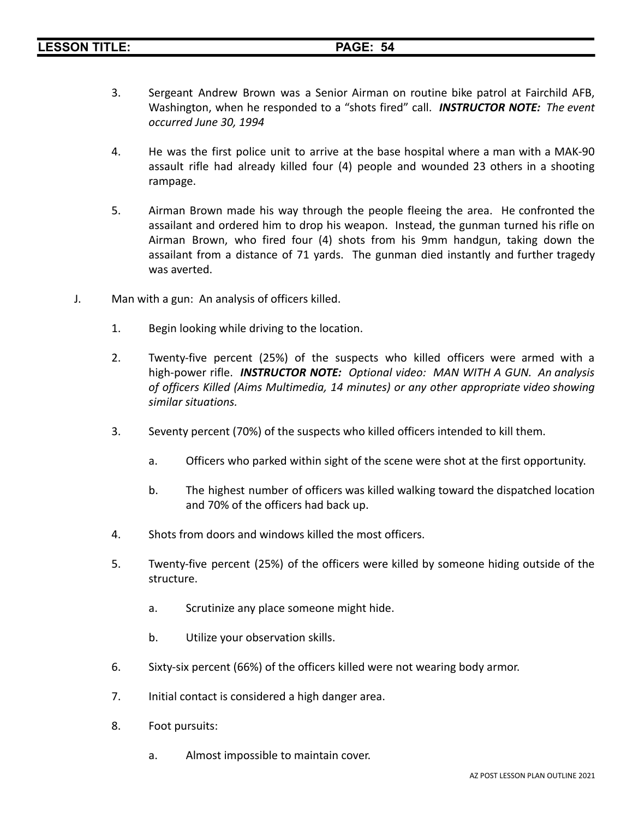- 3. Sergeant Andrew Brown was a Senior Airman on routine bike patrol at Fairchild AFB, Washington, when he responded to a "shots fired" call. *INSTRUCTOR NOTE: The event occurred June 30, 1994*
- 4. He was the first police unit to arrive at the base hospital where a man with a MAK-90 assault rifle had already killed four (4) people and wounded 23 others in a shooting rampage.
- 5. Airman Brown made his way through the people fleeing the area. He confronted the assailant and ordered him to drop his weapon. Instead, the gunman turned his rifle on Airman Brown, who fired four (4) shots from his 9mm handgun, taking down the assailant from a distance of 71 yards. The gunman died instantly and further tragedy was averted.
- J. Man with a gun: An analysis of officers killed.
	- 1. Begin looking while driving to the location.
	- 2. Twenty-five percent (25%) of the suspects who killed officers were armed with a high-power rifle. *INSTRUCTOR NOTE: Optional video: MAN WITH A GUN. An analysis of officers Killed (Aims Multimedia, 14 minutes) or any other appropriate video showing similar situations.*
	- 3. Seventy percent (70%) of the suspects who killed officers intended to kill them.
		- a. Officers who parked within sight of the scene were shot at the first opportunity.
		- b. The highest number of officers was killed walking toward the dispatched location and 70% of the officers had back up.
	- 4. Shots from doors and windows killed the most officers.
	- 5. Twenty-five percent (25%) of the officers were killed by someone hiding outside of the structure.
		- a. Scrutinize any place someone might hide.
		- b. Utilize your observation skills.
	- 6. Sixty-six percent (66%) of the officers killed were not wearing body armor.
	- 7. Initial contact is considered a high danger area.
	- 8. Foot pursuits:
		- a. Almost impossible to maintain cover.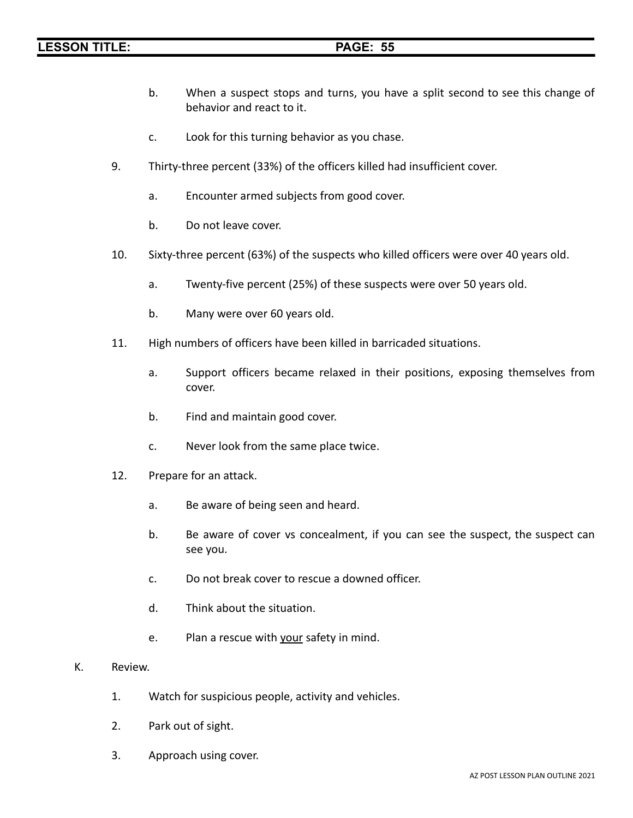- b. When a suspect stops and turns, you have a split second to see this change of behavior and react to it.
- c. Look for this turning behavior as you chase.
- 9. Thirty-three percent (33%) of the officers killed had insufficient cover.
	- a. Encounter armed subjects from good cover.
	- b. Do not leave cover.
- 10. Sixty-three percent (63%) of the suspects who killed officers were over 40 years old.
	- a. Twenty-five percent (25%) of these suspects were over 50 years old.
	- b. Many were over 60 years old.
- 11. High numbers of officers have been killed in barricaded situations.
	- a. Support officers became relaxed in their positions, exposing themselves from cover.
	- b. Find and maintain good cover.
	- c. Never look from the same place twice.
- 12. Prepare for an attack.
	- a. Be aware of being seen and heard.
	- b. Be aware of cover vs concealment, if you can see the suspect, the suspect can see you.
	- c. Do not break cover to rescue a downed officer.
	- d. Think about the situation.
	- e. Plan a rescue with your safety in mind.
- K. Review.
	- 1. Watch for suspicious people, activity and vehicles.
	- 2. Park out of sight.
	- 3. Approach using cover.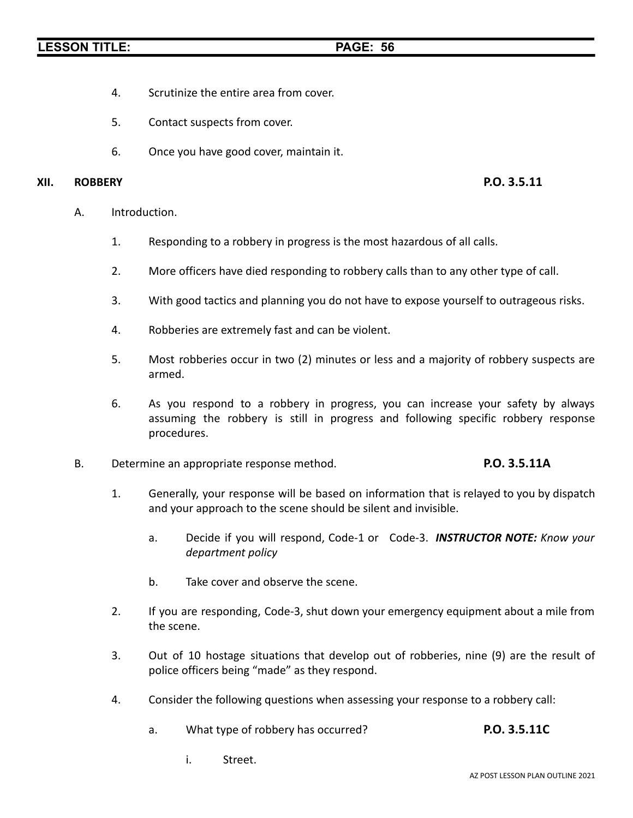- 4. Scrutinize the entire area from cover.
- 5. Contact suspects from cover.
- 6. Once you have good cover, maintain it.

### **XII. ROBBERY P.O. 3.5.11**

- A. Introduction.
	- 1. Responding to a robbery in progress is the most hazardous of all calls.
	- 2. More officers have died responding to robbery calls than to any other type of call.
	- 3. With good tactics and planning you do not have to expose yourself to outrageous risks.
	- 4. Robberies are extremely fast and can be violent.
	- 5. Most robberies occur in two (2) minutes or less and a majority of robbery suspects are armed.
	- 6. As you respond to a robbery in progress, you can increase your safety by always assuming the robbery is still in progress and following specific robbery response procedures.
- B. Determine an appropriate response method. **P.O. 3.5.11A**

- 1. Generally, your response will be based on information that is relayed to you by dispatch and your approach to the scene should be silent and invisible.
	- a. Decide if you will respond, Code-1 or Code-3. *INSTRUCTOR NOTE: Know your department policy*
	- b. Take cover and observe the scene.
- 2. If you are responding, Code-3, shut down your emergency equipment about a mile from the scene.
- 3. Out of 10 hostage situations that develop out of robberies, nine (9) are the result of police officers being "made" as they respond.
- 4. Consider the following questions when assessing your response to a robbery call:
	- a. What type of robbery has occurred? **P.O. 3.5.11C**
		- i. Street.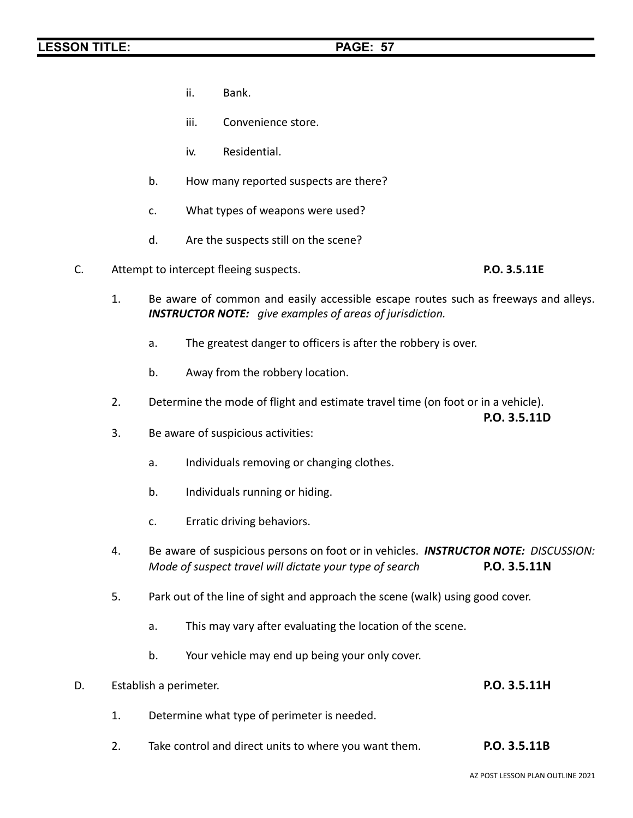- ii. Bank.
- iii. Convenience store.
- iv. Residential.
- b. How many reported suspects are there?
- c. What types of weapons were used?
- d. Are the suspects still on the scene?
- C. Attempt to intercept fleeing suspects. **P.O. 3.5.11E**
	-
	- 1. Be aware of common and easily accessible escape routes such as freeways and alleys. *INSTRUCTOR NOTE: give examples of areas of jurisdiction.*
		- a. The greatest danger to officers is after the robbery is over.
		- b. Away from the robbery location.
	- 2. Determine the mode of flight and estimate travel time (on foot or in a vehicle).

**P.O. 3.5.11D**

- 3. Be aware of suspicious activities:
	- a. Individuals removing or changing clothes.
	- b. Individuals running or hiding.
	- c. Erratic driving behaviors.
- 4. Be aware of suspicious persons on foot or in vehicles. *INSTRUCTOR NOTE: DISCUSSION: Mode of suspect travel will dictate your type of search* **P.O. 3.5.11N**
- 5. Park out of the line of sight and approach the scene (walk) using good cover.
	- a. This may vary after evaluating the location of the scene.
	- b. Your vehicle may end up being your only cover.
- D. Establish a perimeter. **P.O. 3.5.11H**
	- 1. Determine what type of perimeter is needed.
	- 2. Take control and direct units to where you want them. **P.O. 3.5.11B**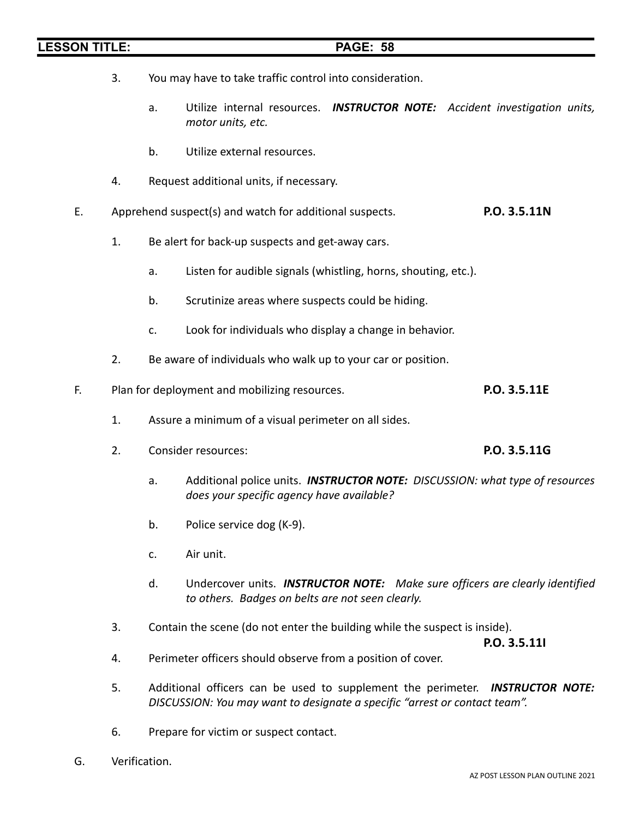- 3. You may have to take traffic control into consideration.
	- a. Utilize internal resources. *INSTRUCTOR NOTE: Accident investigation units, motor units, etc.*
	- b. Utilize external resources.
- 4. Request additional units, if necessary.
- E. Apprehend suspect(s) and watch for additional suspects. **P.O. 3.5.11N**
	- 1. Be alert for back-up suspects and get-away cars.
		- a. Listen for audible signals (whistling, horns, shouting, etc.).
		- b. Scrutinize areas where suspects could be hiding.
		- c. Look for individuals who display a change in behavior.
	- 2. Be aware of individuals who walk up to your car or position.
- F. Plan for deployment and mobilizing resources. **P.O. 3.5.11E**
	- 1. Assure a minimum of a visual perimeter on all sides.
	- 2. Consider resources: **P.O. 3.5.11G**
		- a. Additional police units. *INSTRUCTOR NOTE: DISCUSSION: what type of resources does your specific agency have available?*
		- b. Police service dog (K-9).
		- c. Air unit.
		- d. Undercover units. *INSTRUCTOR NOTE: Make sure officers are clearly identified to others. Badges on belts are not seen clearly.*
	- 3. Contain the scene (do not enter the building while the suspect is inside).

**P.O. 3.5.11I**

- 4. Perimeter officers should observe from a position of cover.
- 5. Additional officers can be used to supplement the perimeter. *INSTRUCTOR NOTE: DISCUSSION: You may want to designate a specific "arrest or contact team".*
- 6. Prepare for victim or suspect contact.
- G. Verification.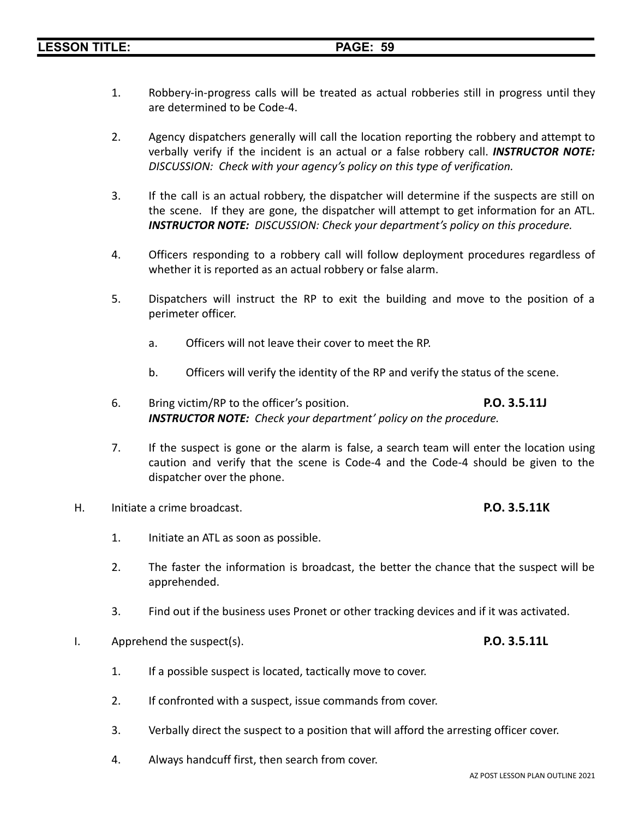- 1. Robbery-in-progress calls will be treated as actual robberies still in progress until they are determined to be Code-4.
- 2. Agency dispatchers generally will call the location reporting the robbery and attempt to verbally verify if the incident is an actual or a false robbery call. *INSTRUCTOR NOTE: DISCUSSION: Check with your agency's policy on this type of verification.*
- 3. If the call is an actual robbery, the dispatcher will determine if the suspects are still on the scene. If they are gone, the dispatcher will attempt to get information for an ATL. *INSTRUCTOR NOTE: DISCUSSION: Check your department's policy on this procedure.*
- 4. Officers responding to a robbery call will follow deployment procedures regardless of whether it is reported as an actual robbery or false alarm.
- 5. Dispatchers will instruct the RP to exit the building and move to the position of a perimeter officer.
	- a. Officers will not leave their cover to meet the RP.
	- b. Officers will verify the identity of the RP and verify the status of the scene.
- 6. Bring victim/RP to the officer's position. **P.O. 3.5.11J** *INSTRUCTOR NOTE: Check your department' policy on the procedure.*
- 7. If the suspect is gone or the alarm is false, a search team will enter the location using caution and verify that the scene is Code-4 and the Code-4 should be given to the dispatcher over the phone.
- H. Initiate a crime broadcast. **P.O. 3.5.11K**
	- 1. Initiate an ATL as soon as possible.
	- 2. The faster the information is broadcast, the better the chance that the suspect will be apprehended.
	- 3. Find out if the business uses Pronet or other tracking devices and if it was activated.
- I. Apprehend the suspect(s). **P.O. 3.5.11L**
	- 1. If a possible suspect is located, tactically move to cover.
	- 2. If confronted with a suspect, issue commands from cover.
	- 3. Verbally direct the suspect to a position that will afford the arresting officer cover.
	- 4. Always handcuff first, then search from cover.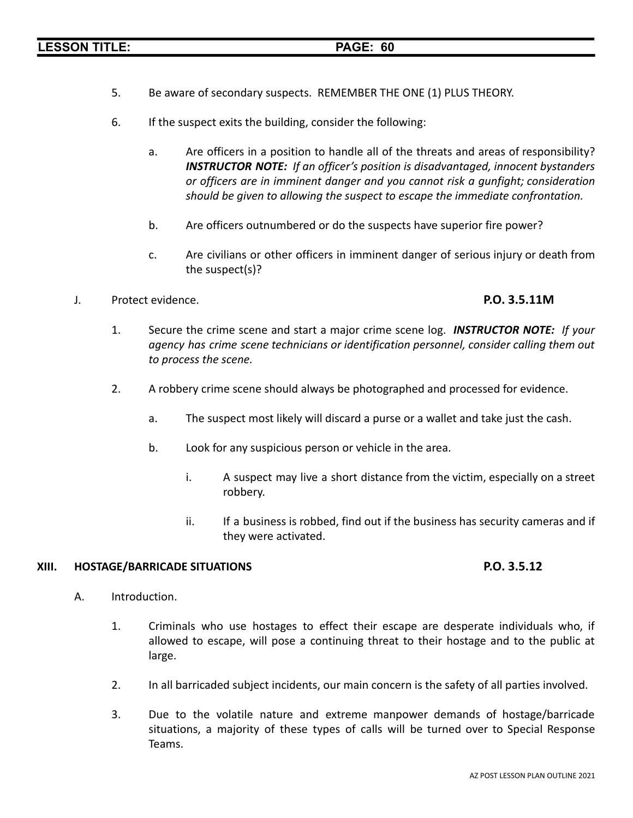- 5. Be aware of secondary suspects. REMEMBER THE ONE (1) PLUS THEORY.
- 6. If the suspect exits the building, consider the following:
	- a. Are officers in a position to handle all of the threats and areas of responsibility? *INSTRUCTOR NOTE: If an officer's position is disadvantaged, innocent bystanders or officers are in imminent danger and you cannot risk a gunfight; consideration should be given to allowing the suspect to escape the immediate confrontation.*
	- b. Are officers outnumbered or do the suspects have superior fire power?
	- c. Are civilians or other officers in imminent danger of serious injury or death from the suspect(s)?
- J. Protect evidence. **P.O. 3.5.11M**

- 1. Secure the crime scene and start a major crime scene log. *INSTRUCTOR NOTE: If your agency has crime scene technicians or identification personnel, consider calling them out to process the scene.*
- 2. A robbery crime scene should always be photographed and processed for evidence.
	- a. The suspect most likely will discard a purse or a wallet and take just the cash.
	- b. Look for any suspicious person or vehicle in the area.
		- i. A suspect may live a short distance from the victim, especially on a street robbery.
		- ii. If a business is robbed, find out if the business has security cameras and if they were activated.

### **XIII. HOSTAGE/BARRICADE SITUATIONS P.O. 3.5.12**

- A. Introduction.
	- 1. Criminals who use hostages to effect their escape are desperate individuals who, if allowed to escape, will pose a continuing threat to their hostage and to the public at large.
	- 2. In all barricaded subject incidents, our main concern is the safety of all parties involved.
	- 3. Due to the volatile nature and extreme manpower demands of hostage/barricade situations, a majority of these types of calls will be turned over to Special Response Teams.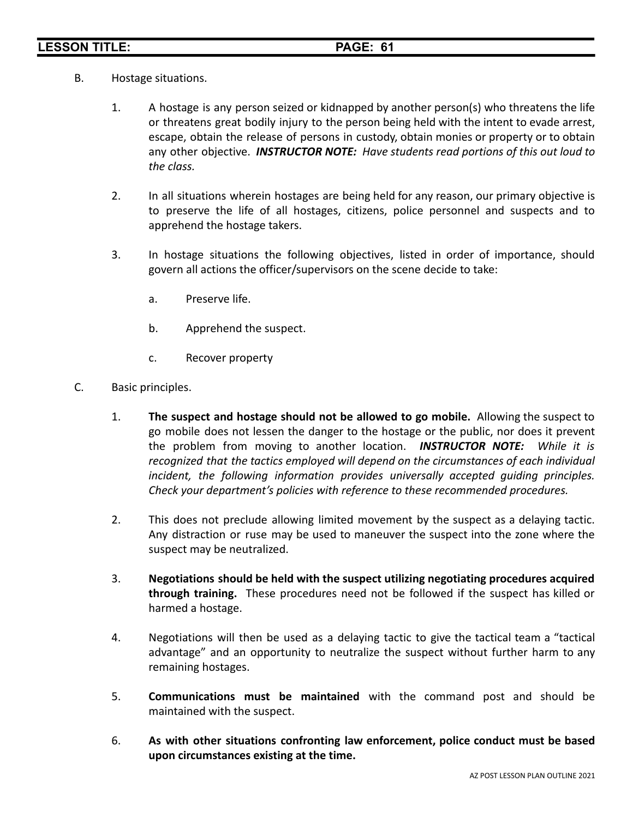- B. Hostage situations.
	- 1. A hostage is any person seized or kidnapped by another person(s) who threatens the life or threatens great bodily injury to the person being held with the intent to evade arrest, escape, obtain the release of persons in custody, obtain monies or property or to obtain any other objective. *INSTRUCTOR NOTE: Have students read portions of this out loud to the class.*
	- 2. In all situations wherein hostages are being held for any reason, our primary objective is to preserve the life of all hostages, citizens, police personnel and suspects and to apprehend the hostage takers.
	- 3. In hostage situations the following objectives, listed in order of importance, should govern all actions the officer/supervisors on the scene decide to take:
		- a. Preserve life.
		- b. Apprehend the suspect.
		- c. Recover property
- C. Basic principles.
	- 1. **The suspect and hostage should not be allowed to go mobile.** Allowing the suspect to go mobile does not lessen the danger to the hostage or the public, nor does it prevent the problem from moving to another location. *INSTRUCTOR NOTE: While it is recognized that the tactics employed will depend on the circumstances of each individual incident, the following information provides universally accepted guiding principles. Check your department's policies with reference to these recommended procedures.*
	- 2. This does not preclude allowing limited movement by the suspect as a delaying tactic. Any distraction or ruse may be used to maneuver the suspect into the zone where the suspect may be neutralized.
	- 3. **Negotiations should be held with the suspect utilizing negotiating procedures acquired through training.** These procedures need not be followed if the suspect has killed or harmed a hostage.
	- 4. Negotiations will then be used as a delaying tactic to give the tactical team a "tactical advantage" and an opportunity to neutralize the suspect without further harm to any remaining hostages.
	- 5. **Communications must be maintained** with the command post and should be maintained with the suspect.
	- 6. **As with other situations confronting law enforcement, police conduct must be based upon circumstances existing at the time.**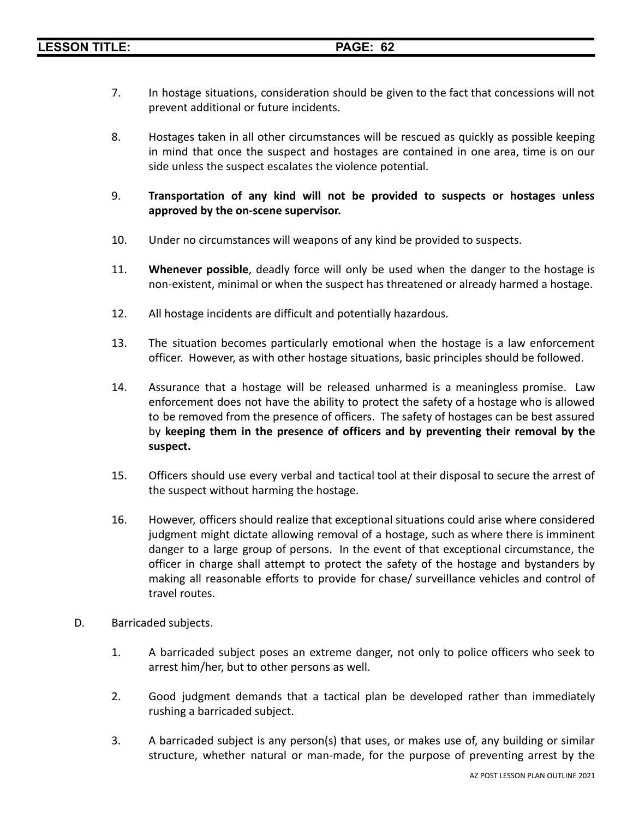- 7. In hostage situations, consideration should be given to the fact that concessions will not prevent additional or future incidents.
- 8. Hostages taken in all other circumstances will be rescued as quickly as possible keeping in mind that once the suspect and hostages are contained in one area, time is on our side unless the suspect escalates the violence potential.
- 9. **Transportation of any kind will not be provided to suspects or hostages unless approved by the on-scene supervisor.**
- 10. Under no circumstances will weapons of any kind be provided to suspects.
- 11. **Whenever possible**, deadly force will only be used when the danger to the hostage is non-existent, minimal or when the suspect has threatened or already harmed a hostage.
- 12. All hostage incidents are difficult and potentially hazardous.
- 13. The situation becomes particularly emotional when the hostage is a law enforcement officer. However, as with other hostage situations, basic principles should be followed.
- 14. Assurance that a hostage will be released unharmed is a meaningless promise. Law enforcement does not have the ability to protect the safety of a hostage who is allowed to be removed from the presence of officers. The safety of hostages can be best assured by **keeping them in the presence of officers and by preventing their removal by the suspect.**
- 15. Officers should use every verbal and tactical tool at their disposal to secure the arrest of the suspect without harming the hostage.
- 16. However, officers should realize that exceptional situations could arise where considered judgment might dictate allowing removal of a hostage, such as where there is imminent danger to a large group of persons. In the event of that exceptional circumstance, the officer in charge shall attempt to protect the safety of the hostage and bystanders by making all reasonable efforts to provide for chase/ surveillance vehicles and control of travel routes.
- D. Barricaded subjects.
	- 1. A barricaded subject poses an extreme danger, not only to police officers who seek to arrest him/her, but to other persons as well.
	- 2. Good judgment demands that a tactical plan be developed rather than immediately rushing a barricaded subject.
	- 3. A barricaded subject is any person(s) that uses, or makes use of, any building or similar structure, whether natural or man-made, for the purpose of preventing arrest by the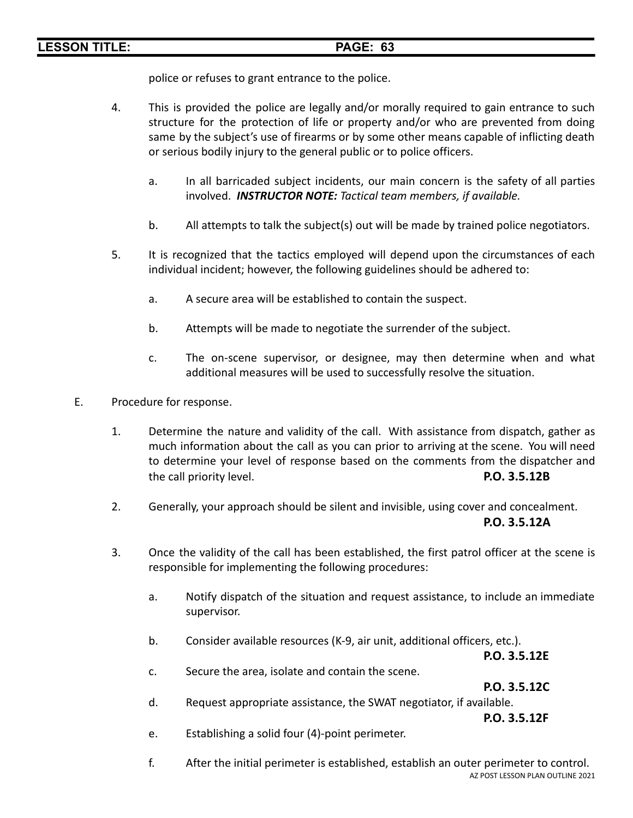police or refuses to grant entrance to the police.

- 4. This is provided the police are legally and/or morally required to gain entrance to such structure for the protection of life or property and/or who are prevented from doing same by the subject's use of firearms or by some other means capable of inflicting death or serious bodily injury to the general public or to police officers.
	- a. In all barricaded subject incidents, our main concern is the safety of all parties involved. *INSTRUCTOR NOTE: Tactical team members, if available.*
	- b. All attempts to talk the subject(s) out will be made by trained police negotiators.
- 5. It is recognized that the tactics employed will depend upon the circumstances of each individual incident; however, the following guidelines should be adhered to:
	- a. A secure area will be established to contain the suspect.
	- b. Attempts will be made to negotiate the surrender of the subject.
	- c. The on-scene supervisor, or designee, may then determine when and what additional measures will be used to successfully resolve the situation.
- E. Procedure for response.
	- 1. Determine the nature and validity of the call. With assistance from dispatch, gather as much information about the call as you can prior to arriving at the scene. You will need to determine your level of response based on the comments from the dispatcher and the call priority level. **P.O. 3.5.12B**
	- 2. Generally, your approach should be silent and invisible, using cover and concealment.

### **P.O. 3.5.12A**

- 3. Once the validity of the call has been established, the first patrol officer at the scene is responsible for implementing the following procedures:
	- a. Notify dispatch of the situation and request assistance, to include an immediate supervisor.
	- b. Consider available resources (K-9, air unit, additional officers, etc.).

**P.O. 3.5.12E**

c. Secure the area, isolate and contain the scene.

**P.O. 3.5.12C**

d. Request appropriate assistance, the SWAT negotiator, if available.

**P.O. 3.5.12F**

- e. Establishing a solid four (4)-point perimeter.
- f. After the initial perimeter is established, establish an outer perimeter to control. AZ POST LESSON PLAN OUTLINE 2021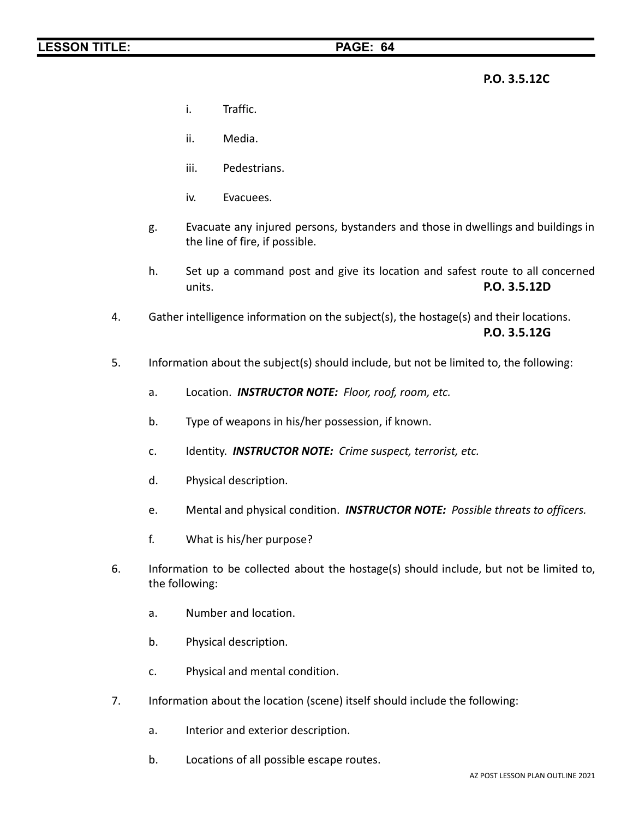### **P.O. 3.5.12C**

- i. Traffic.
- ii. Media.
- iii. Pedestrians.
- iv. Evacuees.
- g. Evacuate any injured persons, bystanders and those in dwellings and buildings in the line of fire, if possible.
- h. Set up a command post and give its location and safest route to all concerned units. **P.O. 3.5.12D**
- 4. Gather intelligence information on the subject(s), the hostage(s) and their locations. **P.O. 3.5.12G**
- 5. Information about the subject(s) should include, but not be limited to, the following:
	- a. Location. *INSTRUCTOR NOTE: Floor, roof, room, etc.*
	- b. Type of weapons in his/her possession, if known.
	- c. Identity. *INSTRUCTOR NOTE: Crime suspect, terrorist, etc.*
	- d. Physical description.
	- e. Mental and physical condition. *INSTRUCTOR NOTE: Possible threats to officers.*
	- f. What is his/her purpose?
- 6. Information to be collected about the hostage(s) should include, but not be limited to, the following:
	- a. Number and location.
	- b. Physical description.
	- c. Physical and mental condition.
- 7. Information about the location (scene) itself should include the following:
	- a. Interior and exterior description.
	- b. Locations of all possible escape routes.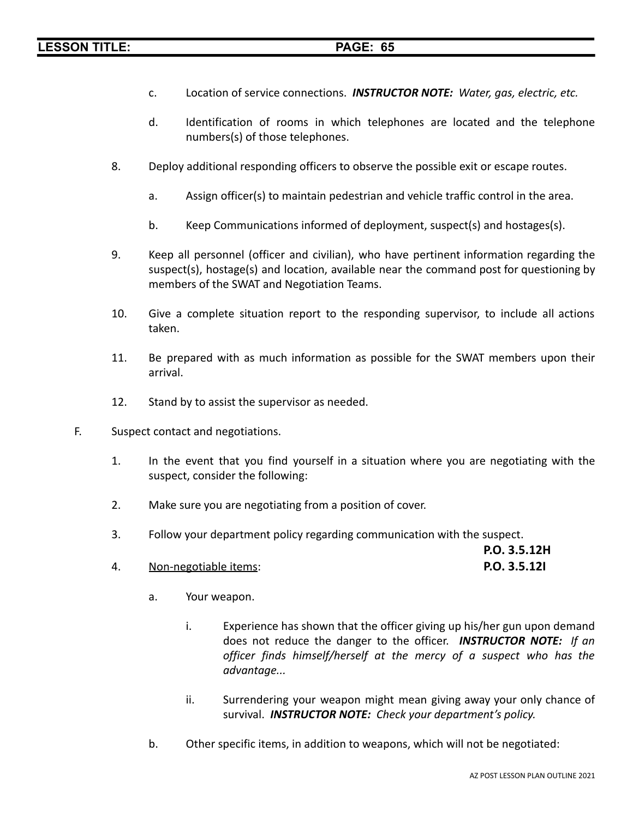- c. Location of service connections. *INSTRUCTOR NOTE: Water, gas, electric, etc.*
- d. Identification of rooms in which telephones are located and the telephone numbers(s) of those telephones.
- 8. Deploy additional responding officers to observe the possible exit or escape routes.
	- a. Assign officer(s) to maintain pedestrian and vehicle traffic control in the area.
	- b. Keep Communications informed of deployment, suspect(s) and hostages(s).
- 9. Keep all personnel (officer and civilian), who have pertinent information regarding the suspect(s), hostage(s) and location, available near the command post for questioning by members of the SWAT and Negotiation Teams.
- 10. Give a complete situation report to the responding supervisor, to include all actions taken.
- 11. Be prepared with as much information as possible for the SWAT members upon their arrival.
- 12. Stand by to assist the supervisor as needed.
- F. Suspect contact and negotiations.
	- 1. In the event that you find yourself in a situation where you are negotiating with the suspect, consider the following:
	- 2. Make sure you are negotiating from a position of cover.
	- 3. Follow your department policy regarding communication with the suspect.

**P.O. 3.5.12H**

- 4. Non-negotiable items: **P.O. 3.5.12I**
	- a. Your weapon.
		- i. Experience has shown that the officer giving up his/her gun upon demand does not reduce the danger to the officer. *INSTRUCTOR NOTE: If an officer finds himself/herself at the mercy of a suspect who has the advantage...*
		- ii. Surrendering your weapon might mean giving away your only chance of survival. *INSTRUCTOR NOTE: Check your department's policy.*
	- b. Other specific items, in addition to weapons, which will not be negotiated: